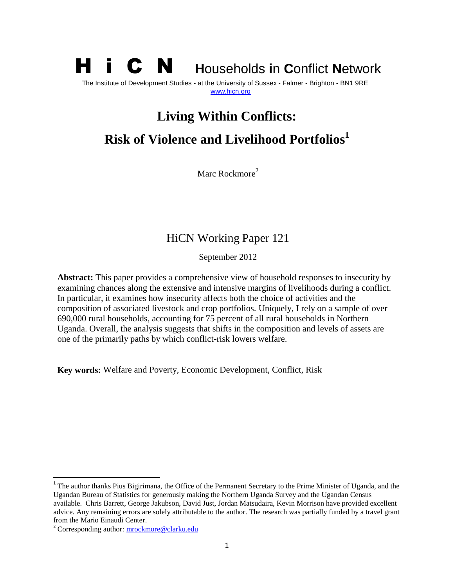# H i C N **<sup>H</sup>**ouseholds **i**n **C**onflict **<sup>N</sup>**etwork

The Institute of Development Studies - at the University of Sussex - Falmer - Brighton - BN1 9RE [www.hicn.org](http://www.hicn.org/)

# **Living Within Conflicts:**

# **Risk of Violence and Livelihood Portfolios 1**

Marc Rockmore<sup>2</sup>

# HiCN Working Paper 121

September 2012

**Abstract:** This paper provides a comprehensive view of household responses to insecurity by examining chances along the extensive and intensive margins of livelihoods during a conflict. In particular, it examines how insecurity affects both the choice of activities and the composition of associated livestock and crop portfolios. Uniquely, I rely on a sample of over 690,000 rural households, accounting for 75 percent of all rural households in Northern Uganda. Overall, the analysis suggests that shifts in the composition and levels of assets are one of the primarily paths by which conflict-risk lowers welfare.

**Key words:** Welfare and Poverty, Economic Development, Conflict, Risk

 $\overline{\phantom{a}}$ 

<sup>&</sup>lt;sup>1</sup> The author thanks Pius Bigirimana, the Office of the Permanent Secretary to the Prime Minister of Uganda, and the Ugandan Bureau of Statistics for generously making the Northern Uganda Survey and the Ugandan Census available. Chris Barrett, George Jakubson, David Just, Jordan Matsudaira, Kevin Morrison have provided excellent advice. Any remaining errors are solely attributable to the author. The research was partially funded by a travel grant from the Mario Einaudi Center.

<sup>&</sup>lt;sup>2</sup> Corresponding author: **mrockmore@clarku.edu**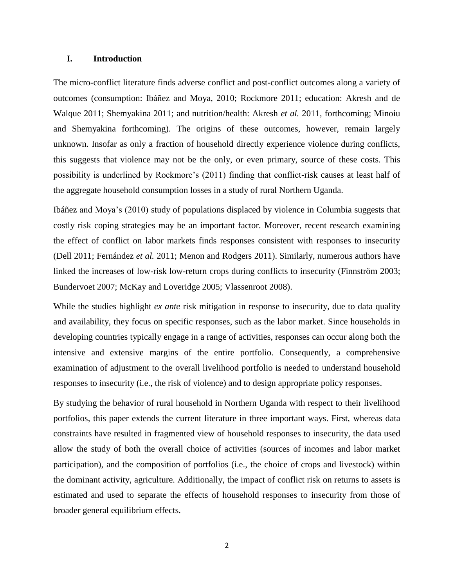#### **I. Introduction**

The micro-conflict literature finds adverse conflict and post-conflict outcomes along a variety of outcomes (consumption: Ibáñez and Moya, 2010; Rockmore 2011; education: Akresh and de Walque 2011; Shemyakina 2011; and nutrition/health: Akresh *et al.* 2011, forthcoming; Minoiu and Shemyakina forthcoming). The origins of these outcomes, however, remain largely unknown. Insofar as only a fraction of household directly experience violence during conflicts, this suggests that violence may not be the only, or even primary, source of these costs. This possibility is underlined by Rockmore"s (2011) finding that conflict-risk causes at least half of the aggregate household consumption losses in a study of rural Northern Uganda.

Ibáñez and Moya"s (2010) study of populations displaced by violence in Columbia suggests that costly risk coping strategies may be an important factor. Moreover, recent research examining the effect of conflict on labor markets finds responses consistent with responses to insecurity (Dell 2011; Fernández *et al.* 2011; Menon and Rodgers 2011). Similarly, numerous authors have linked the increases of low-risk low-return crops during conflicts to insecurity (Finnström 2003; Bundervoet 2007; McKay and Loveridge 2005; Vlassenroot 2008).

While the studies highlight *ex ante* risk mitigation in response to insecurity, due to data quality and availability, they focus on specific responses, such as the labor market. Since households in developing countries typically engage in a range of activities, responses can occur along both the intensive and extensive margins of the entire portfolio. Consequently, a comprehensive examination of adjustment to the overall livelihood portfolio is needed to understand household responses to insecurity (i.e., the risk of violence) and to design appropriate policy responses.

By studying the behavior of rural household in Northern Uganda with respect to their livelihood portfolios, this paper extends the current literature in three important ways. First, whereas data constraints have resulted in fragmented view of household responses to insecurity, the data used allow the study of both the overall choice of activities (sources of incomes and labor market participation), and the composition of portfolios (i.e., the choice of crops and livestock) within the dominant activity, agriculture. Additionally, the impact of conflict risk on returns to assets is estimated and used to separate the effects of household responses to insecurity from those of broader general equilibrium effects.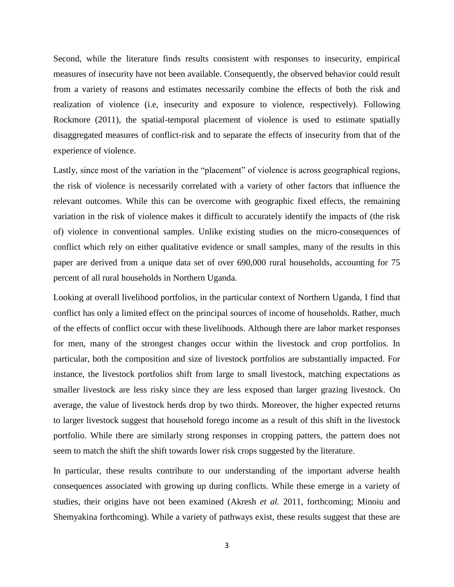Second, while the literature finds results consistent with responses to insecurity, empirical measures of insecurity have not been available. Consequently, the observed behavior could result from a variety of reasons and estimates necessarily combine the effects of both the risk and realization of violence (i.e, insecurity and exposure to violence, respectively). Following Rockmore (2011), the spatial-temporal placement of violence is used to estimate spatially disaggregated measures of conflict-risk and to separate the effects of insecurity from that of the experience of violence.

Lastly, since most of the variation in the "placement" of violence is across geographical regions, the risk of violence is necessarily correlated with a variety of other factors that influence the relevant outcomes. While this can be overcome with geographic fixed effects, the remaining variation in the risk of violence makes it difficult to accurately identify the impacts of (the risk of) violence in conventional samples. Unlike existing studies on the micro-consequences of conflict which rely on either qualitative evidence or small samples, many of the results in this paper are derived from a unique data set of over 690,000 rural households, accounting for 75 percent of all rural households in Northern Uganda.

Looking at overall livelihood portfolios, in the particular context of Northern Uganda, I find that conflict has only a limited effect on the principal sources of income of households. Rather, much of the effects of conflict occur with these livelihoods. Although there are labor market responses for men, many of the strongest changes occur within the livestock and crop portfolios. In particular, both the composition and size of livestock portfolios are substantially impacted. For instance, the livestock portfolios shift from large to small livestock, matching expectations as smaller livestock are less risky since they are less exposed than larger grazing livestock. On average, the value of livestock herds drop by two thirds. Moreover, the higher expected returns to larger livestock suggest that household forego income as a result of this shift in the livestock portfolio. While there are similarly strong responses in cropping patters, the pattern does not seem to match the shift the shift towards lower risk crops suggested by the literature.

In particular, these results contribute to our understanding of the important adverse health consequences associated with growing up during conflicts. While these emerge in a variety of studies, their origins have not been examined (Akresh *et al.* 2011, forthcoming; Minoiu and Shemyakina forthcoming). While a variety of pathways exist, these results suggest that these are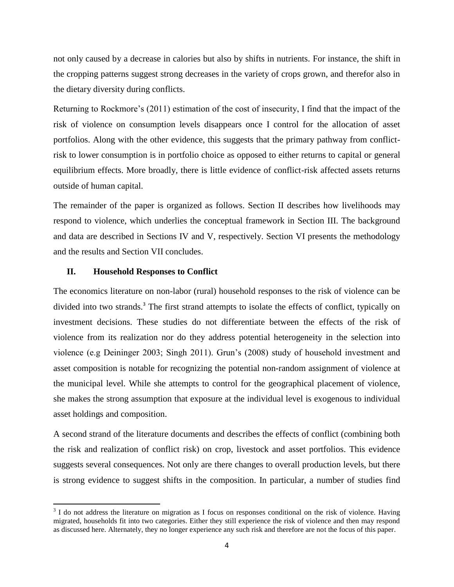not only caused by a decrease in calories but also by shifts in nutrients. For instance, the shift in the cropping patterns suggest strong decreases in the variety of crops grown, and therefor also in the dietary diversity during conflicts.

Returning to Rockmore"s (2011) estimation of the cost of insecurity, I find that the impact of the risk of violence on consumption levels disappears once I control for the allocation of asset portfolios. Along with the other evidence, this suggests that the primary pathway from conflictrisk to lower consumption is in portfolio choice as opposed to either returns to capital or general equilibrium effects. More broadly, there is little evidence of conflict-risk affected assets returns outside of human capital.

The remainder of the paper is organized as follows. Section II describes how livelihoods may respond to violence, which underlies the conceptual framework in Section III. The background and data are described in Sections IV and V, respectively. Section VI presents the methodology and the results and Section VII concludes.

#### **II. Household Responses to Conflict**

 $\overline{\phantom{a}}$ 

The economics literature on non-labor (rural) household responses to the risk of violence can be divided into two strands.<sup>3</sup> The first strand attempts to isolate the effects of conflict, typically on investment decisions. These studies do not differentiate between the effects of the risk of violence from its realization nor do they address potential heterogeneity in the selection into violence (e.g Deininger 2003; Singh 2011). Grun"s (2008) study of household investment and asset composition is notable for recognizing the potential non-random assignment of violence at the municipal level. While she attempts to control for the geographical placement of violence, she makes the strong assumption that exposure at the individual level is exogenous to individual asset holdings and composition.

A second strand of the literature documents and describes the effects of conflict (combining both the risk and realization of conflict risk) on crop, livestock and asset portfolios. This evidence suggests several consequences. Not only are there changes to overall production levels, but there is strong evidence to suggest shifts in the composition. In particular, a number of studies find

 $3$  I do not address the literature on migration as I focus on responses conditional on the risk of violence. Having migrated, households fit into two categories. Either they still experience the risk of violence and then may respond as discussed here. Alternately, they no longer experience any such risk and therefore are not the focus of this paper.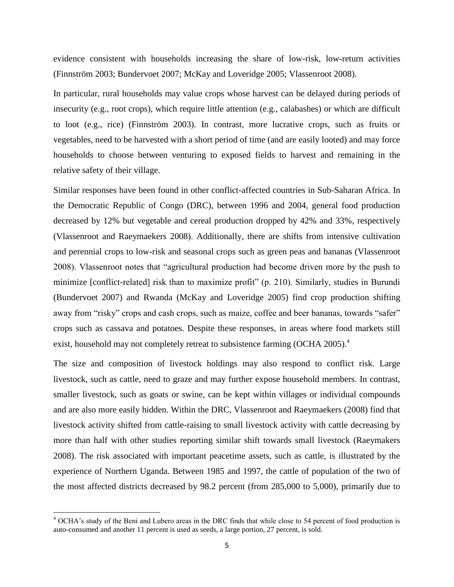evidence consistent with households increasing the share of low-risk, low-return activities (Finnström 2003; Bundervoet 2007; McKay and Loveridge 2005; Vlassenroot 2008).

In particular, rural households may value crops whose harvest can be delayed during periods of insecurity (e.g., root crops), which require little attention (e.g., calabashes) or which are difficult to loot (e.g., rice) (Finnström 2003). In contrast, more lucrative crops, such as fruits or vegetables, need to be harvested with a short period of time (and are easily looted) and may force households to choose between venturing to exposed fields to harvest and remaining in the relative safety of their village.

Similar responses have been found in other conflict-affected countries in Sub-Saharan Africa. In the Democratic Republic of Congo (DRC), between 1996 and 2004, general food production decreased by 12% but vegetable and cereal production dropped by 42% and 33%, respectively (Vlassenroot and Raeymaekers 2008). Additionally, there are shifts from intensive cultivation and perennial crops to low-risk and seasonal crops such as green peas and bananas (Vlassenroot 2008). Vlassenroot notes that "agricultural production had become driven more by the push to minimize [conflict-related] risk than to maximize profit" (p. 210). Similarly, studies in Burundi (Bundervoet 2007) and Rwanda (McKay and Loveridge 2005) find crop production shifting away from "risky" crops and cash crops, such as maize, coffee and beer bananas, towards "safer" crops such as cassava and potatoes. Despite these responses, in areas where food markets still exist, household may not completely retreat to subsistence farming (OCHA 2005).<sup>4</sup>

The size and composition of livestock holdings may also respond to conflict risk. Large livestock, such as cattle, need to graze and may further expose household members. In contrast, smaller livestock, such as goats or swine, can be kept within villages or individual compounds and are also more easily hidden. Within the DRC, Vlassenroot and Raeymaekers (2008) find that livestock activity shifted from cattle-raising to small livestock activity with cattle decreasing by more than half with other studies reporting similar shift towards small livestock (Raeymakers 2008). The risk associated with important peacetime assets, such as cattle, is illustrated by the experience of Northern Uganda. Between 1985 and 1997, the cattle of population of the two of the most affected districts decreased by 98.2 percent (from 285,000 to 5,000), primarily due to

 $\overline{\phantom{a}}$ 

<sup>&</sup>lt;sup>4</sup> OCHA's study of the Beni and Lubero areas in the DRC finds that while close to 54 percent of food production is auto-consumed and another 11 percent is used as seeds, a large portion, 27 percent, is sold.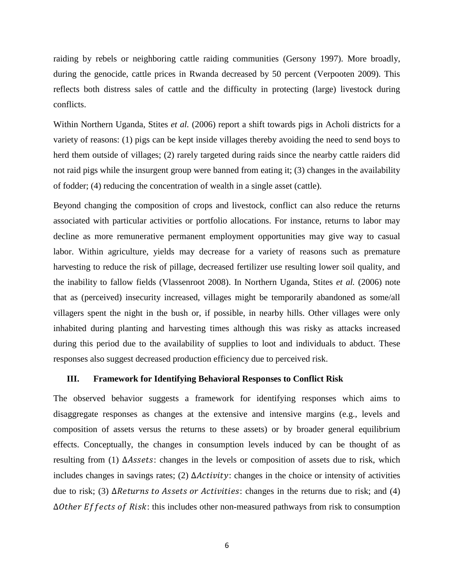raiding by rebels or neighboring cattle raiding communities (Gersony 1997). More broadly, during the genocide, cattle prices in Rwanda decreased by 50 percent (Verpooten 2009). This reflects both distress sales of cattle and the difficulty in protecting (large) livestock during conflicts.

Within Northern Uganda, Stites *et al.* (2006) report a shift towards pigs in Acholi districts for a variety of reasons: (1) pigs can be kept inside villages thereby avoiding the need to send boys to herd them outside of villages; (2) rarely targeted during raids since the nearby cattle raiders did not raid pigs while the insurgent group were banned from eating it; (3) changes in the availability of fodder; (4) reducing the concentration of wealth in a single asset (cattle).

Beyond changing the composition of crops and livestock, conflict can also reduce the returns associated with particular activities or portfolio allocations. For instance, returns to labor may decline as more remunerative permanent employment opportunities may give way to casual labor. Within agriculture, yields may decrease for a variety of reasons such as premature harvesting to reduce the risk of pillage, decreased fertilizer use resulting lower soil quality, and the inability to fallow fields (Vlassenroot 2008). In Northern Uganda, Stites *et al.* (2006) note that as (perceived) insecurity increased, villages might be temporarily abandoned as some/all villagers spent the night in the bush or, if possible, in nearby hills. Other villages were only inhabited during planting and harvesting times although this was risky as attacks increased during this period due to the availability of supplies to loot and individuals to abduct. These responses also suggest decreased production efficiency due to perceived risk.

#### **III. Framework for Identifying Behavioral Responses to Conflict Risk**

The observed behavior suggests a framework for identifying responses which aims to disaggregate responses as changes at the extensive and intensive margins (e.g., levels and composition of assets versus the returns to these assets) or by broader general equilibrium effects. Conceptually, the changes in consumption levels induced by can be thought of as resulting from (1)  $\Delta Assets$ : changes in the levels or composition of assets due to risk, which includes changes in savings rates; (2)  $\Delta$ *Activity*: changes in the choice or intensity of activities due to risk; (3)  $\Delta$ Returns to Assets or Activities: changes in the returns due to risk; and (4)  $\Delta$ Other Effects of Risk: this includes other non-measured pathways from risk to consumption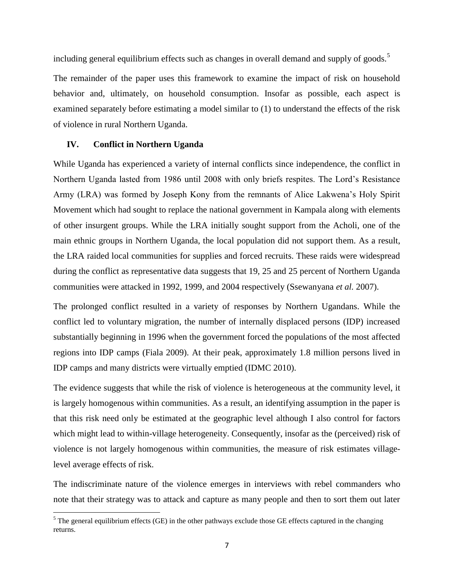including general equilibrium effects such as changes in overall demand and supply of goods.<sup>5</sup>

The remainder of the paper uses this framework to examine the impact of risk on household behavior and, ultimately, on household consumption. Insofar as possible, each aspect is examined separately before estimating a model similar to (1) to understand the effects of the risk of violence in rural Northern Uganda.

#### **IV. Conflict in Northern Uganda**

 $\overline{\phantom{a}}$ 

While Uganda has experienced a variety of internal conflicts since independence, the conflict in Northern Uganda lasted from 1986 until 2008 with only briefs respites. The Lord"s Resistance Army (LRA) was formed by Joseph Kony from the remnants of Alice Lakwena"s Holy Spirit Movement which had sought to replace the national government in Kampala along with elements of other insurgent groups. While the LRA initially sought support from the Acholi, one of the main ethnic groups in Northern Uganda, the local population did not support them. As a result, the LRA raided local communities for supplies and forced recruits. These raids were widespread during the conflict as representative data suggests that 19, 25 and 25 percent of Northern Uganda communities were attacked in 1992, 1999, and 2004 respectively (Ssewanyana *et al.* 2007).

The prolonged conflict resulted in a variety of responses by Northern Ugandans. While the conflict led to voluntary migration, the number of internally displaced persons (IDP) increased substantially beginning in 1996 when the government forced the populations of the most affected regions into IDP camps (Fiala 2009). At their peak, approximately 1.8 million persons lived in IDP camps and many districts were virtually emptied (IDMC 2010).

The evidence suggests that while the risk of violence is heterogeneous at the community level, it is largely homogenous within communities. As a result, an identifying assumption in the paper is that this risk need only be estimated at the geographic level although I also control for factors which might lead to within-village heterogeneity. Consequently, insofar as the (perceived) risk of violence is not largely homogenous within communities, the measure of risk estimates villagelevel average effects of risk.

The indiscriminate nature of the violence emerges in interviews with rebel commanders who note that their strategy was to attack and capture as many people and then to sort them out later

 $<sup>5</sup>$  The general equilibrium effects (GE) in the other pathways exclude those GE effects captured in the changing</sup> returns.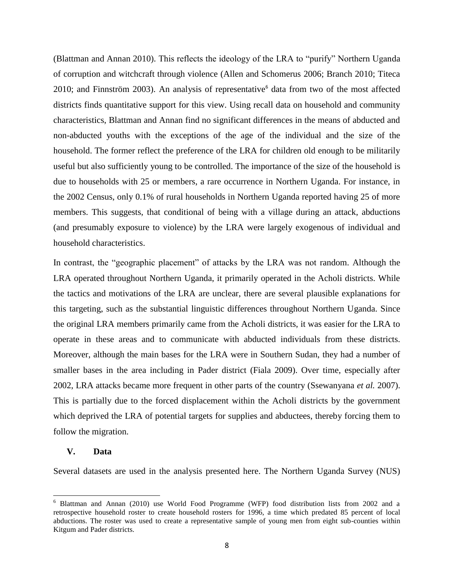(Blattman and Annan 2010). This reflects the ideology of the LRA to "purify" Northern Uganda of corruption and witchcraft through violence (Allen and Schomerus 2006; Branch 2010; Titeca 2010; and [Finnström](http://www.valentin.uu.se/staff/pers_homepages/finnstrom_s.htm) 2003). An analysis of representative $<sup>6</sup>$  data from two of the most affected</sup> districts finds quantitative support for this view. Using recall data on household and community characteristics, Blattman and Annan find no significant differences in the means of abducted and non-abducted youths with the exceptions of the age of the individual and the size of the household. The former reflect the preference of the LRA for children old enough to be militarily useful but also sufficiently young to be controlled. The importance of the size of the household is due to households with 25 or members, a rare occurrence in Northern Uganda. For instance, in the 2002 Census, only 0.1% of rural households in Northern Uganda reported having 25 of more members. This suggests, that conditional of being with a village during an attack, abductions (and presumably exposure to violence) by the LRA were largely exogenous of individual and household characteristics.

In contrast, the "geographic placement" of attacks by the LRA was not random. Although the LRA operated throughout Northern Uganda, it primarily operated in the Acholi districts. While the tactics and motivations of the LRA are unclear, there are several plausible explanations for this targeting, such as the substantial linguistic differences throughout Northern Uganda. Since the original LRA members primarily came from the Acholi districts, it was easier for the LRA to operate in these areas and to communicate with abducted individuals from these districts. Moreover, although the main bases for the LRA were in Southern Sudan, they had a number of smaller bases in the area including in Pader district (Fiala 2009). Over time, especially after 2002, LRA attacks became more frequent in other parts of the country (Ssewanyana *et al.* 2007). This is partially due to the forced displacement within the Acholi districts by the government which deprived the LRA of potential targets for supplies and abductees, thereby forcing them to follow the migration.

#### **V. Data**

 $\overline{\phantom{a}}$ 

Several datasets are used in the analysis presented here. The Northern Uganda Survey (NUS)

<sup>6</sup> Blattman and Annan (2010) use World Food Programme (WFP) food distribution lists from 2002 and a retrospective household roster to create household rosters for 1996, a time which predated 85 percent of local abductions. The roster was used to create a representative sample of young men from eight sub-counties within Kitgum and Pader districts.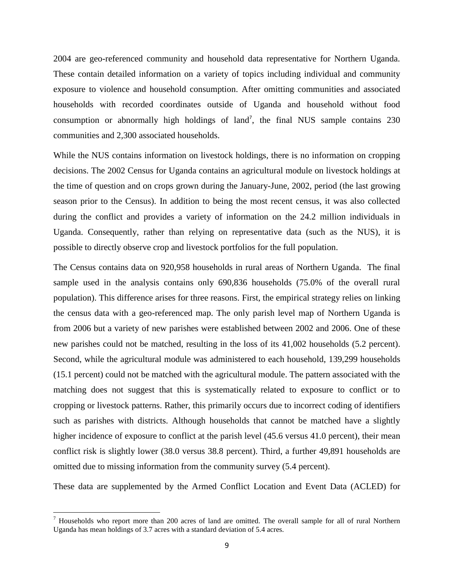2004 are geo-referenced community and household data representative for Northern Uganda. These contain detailed information on a variety of topics including individual and community exposure to violence and household consumption. After omitting communities and associated households with recorded coordinates outside of Uganda and household without food consumption or abnormally high holdings of land<sup>7</sup>, the final NUS sample contains  $230$ communities and 2,300 associated households.

While the NUS contains information on livestock holdings, there is no information on cropping decisions. The 2002 Census for Uganda contains an agricultural module on livestock holdings at the time of question and on crops grown during the January-June, 2002, period (the last growing season prior to the Census). In addition to being the most recent census, it was also collected during the conflict and provides a variety of information on the 24.2 million individuals in Uganda. Consequently, rather than relying on representative data (such as the NUS), it is possible to directly observe crop and livestock portfolios for the full population.

The Census contains data on 920,958 households in rural areas of Northern Uganda. The final sample used in the analysis contains only 690,836 households (75.0% of the overall rural population). This difference arises for three reasons. First, the empirical strategy relies on linking the census data with a geo-referenced map. The only parish level map of Northern Uganda is from 2006 but a variety of new parishes were established between 2002 and 2006. One of these new parishes could not be matched, resulting in the loss of its 41,002 households (5.2 percent). Second, while the agricultural module was administered to each household, 139,299 households (15.1 percent) could not be matched with the agricultural module. The pattern associated with the matching does not suggest that this is systematically related to exposure to conflict or to cropping or livestock patterns. Rather, this primarily occurs due to incorrect coding of identifiers such as parishes with districts. Although households that cannot be matched have a slightly higher incidence of exposure to conflict at the parish level (45.6 versus 41.0 percent), their mean conflict risk is slightly lower (38.0 versus 38.8 percent). Third, a further 49,891 households are omitted due to missing information from the community survey (5.4 percent).

These data are supplemented by the Armed Conflict Location and Event Data (ACLED) for

 $\overline{\phantom{a}}$ 

 $<sup>7</sup>$  Households who report more than 200 acres of land are omitted. The overall sample for all of rural Northern</sup> Uganda has mean holdings of 3.7 acres with a standard deviation of 5.4 acres.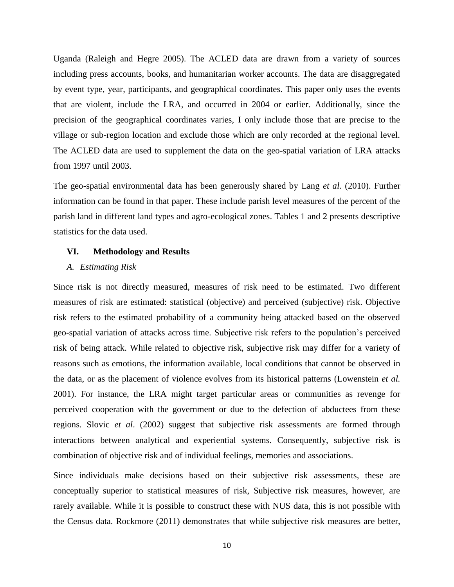Uganda (Raleigh and Hegre 2005). The ACLED data are drawn from a variety of sources including press accounts, books, and humanitarian worker accounts. The data are disaggregated by event type, year, participants, and geographical coordinates. This paper only uses the events that are violent, include the LRA, and occurred in 2004 or earlier. Additionally, since the precision of the geographical coordinates varies, I only include those that are precise to the village or sub-region location and exclude those which are only recorded at the regional level. The ACLED data are used to supplement the data on the geo-spatial variation of LRA attacks from 1997 until 2003.

The geo-spatial environmental data has been generously shared by Lang *et al.* (2010). Further information can be found in that paper. These include parish level measures of the percent of the parish land in different land types and agro-ecological zones. Tables 1 and 2 presents descriptive statistics for the data used.

#### **VI. Methodology and Results**

#### *A. Estimating Risk*

Since risk is not directly measured, measures of risk need to be estimated. Two different measures of risk are estimated: statistical (objective) and perceived (subjective) risk. Objective risk refers to the estimated probability of a community being attacked based on the observed geo-spatial variation of attacks across time. Subjective risk refers to the population"s perceived risk of being attack. While related to objective risk, subjective risk may differ for a variety of reasons such as emotions, the information available, local conditions that cannot be observed in the data, or as the placement of violence evolves from its historical patterns (Lowenstein *et al.*  2001). For instance, the LRA might target particular areas or communities as revenge for perceived cooperation with the government or due to the defection of abductees from these regions. Slovic *et al*. (2002) suggest that subjective risk assessments are formed through interactions between analytical and experiential systems. Consequently, subjective risk is combination of objective risk and of individual feelings, memories and associations.

Since individuals make decisions based on their subjective risk assessments, these are conceptually superior to statistical measures of risk, Subjective risk measures, however, are rarely available. While it is possible to construct these with NUS data, this is not possible with the Census data. Rockmore (2011) demonstrates that while subjective risk measures are better,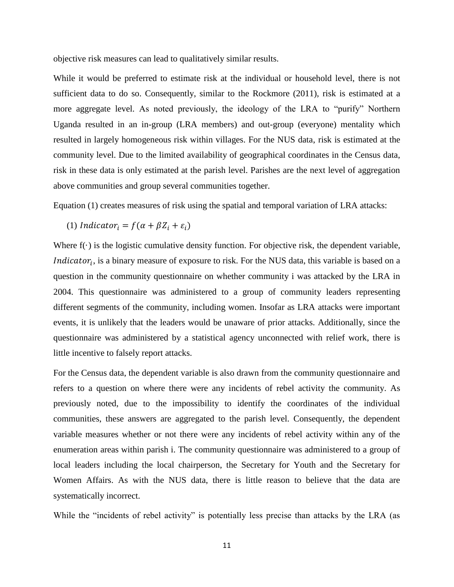objective risk measures can lead to qualitatively similar results.

While it would be preferred to estimate risk at the individual or household level, there is not sufficient data to do so. Consequently, similar to the Rockmore (2011), risk is estimated at a more aggregate level. As noted previously, the ideology of the LRA to "purify" Northern Uganda resulted in an in-group (LRA members) and out-group (everyone) mentality which resulted in largely homogeneous risk within villages. For the NUS data, risk is estimated at the community level. Due to the limited availability of geographical coordinates in the Census data, risk in these data is only estimated at the parish level. Parishes are the next level of aggregation above communities and group several communities together.

Equation (1) creates measures of risk using the spatial and temporal variation of LRA attacks:

(1) Indicator<sub>i</sub> =  $f(\alpha + \beta Z_i + \varepsilon_i)$ 

Where  $f(\cdot)$  is the logistic cumulative density function. For objective risk, the dependent variable, *Indicator<sub>i</sub>*, is a binary measure of exposure to risk. For the NUS data, this variable is based on a question in the community questionnaire on whether community i was attacked by the LRA in 2004. This questionnaire was administered to a group of community leaders representing different segments of the community, including women. Insofar as LRA attacks were important events, it is unlikely that the leaders would be unaware of prior attacks. Additionally, since the questionnaire was administered by a statistical agency unconnected with relief work, there is little incentive to falsely report attacks.

For the Census data, the dependent variable is also drawn from the community questionnaire and refers to a question on where there were any incidents of rebel activity the community. As previously noted, due to the impossibility to identify the coordinates of the individual communities, these answers are aggregated to the parish level. Consequently, the dependent variable measures whether or not there were any incidents of rebel activity within any of the enumeration areas within parish i. The community questionnaire was administered to a group of local leaders including the local chairperson, the Secretary for Youth and the Secretary for Women Affairs. As with the NUS data, there is little reason to believe that the data are systematically incorrect.

While the "incidents of rebel activity" is potentially less precise than attacks by the LRA (as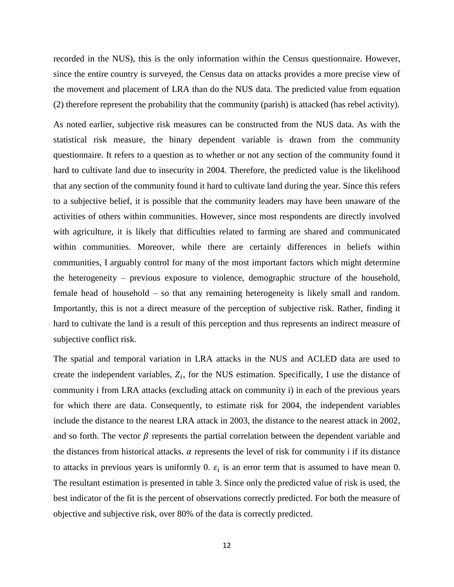recorded in the NUS), this is the only information within the Census questionnaire. However, since the entire country is surveyed, the Census data on attacks provides a more precise view of the movement and placement of LRA than do the NUS data. The predicted value from equation (2) therefore represent the probability that the community (parish) is attacked (has rebel activity).

As noted earlier, subjective risk measures can be constructed from the NUS data. As with the statistical risk measure, the binary dependent variable is drawn from the community questionnaire. It refers to a question as to whether or not any section of the community found it hard to cultivate land due to insecurity in 2004. Therefore, the predicted value is the likelihood that any section of the community found it hard to cultivate land during the year. Since this refers to a subjective belief, it is possible that the community leaders may have been unaware of the activities of others within communities. However, since most respondents are directly involved with agriculture, it is likely that difficulties related to farming are shared and communicated within communities. Moreover, while there are certainly differences in beliefs within communities, I arguably control for many of the most important factors which might determine the heterogeneity – previous exposure to violence, demographic structure of the household, female head of household – so that any remaining heterogeneity is likely small and random. Importantly, this is not a direct measure of the perception of subjective risk. Rather, finding it hard to cultivate the land is a result of this perception and thus represents an indirect measure of subjective conflict risk.

The spatial and temporal variation in LRA attacks in the NUS and ACLED data are used to create the independent variables,  $Z_i$ , for the NUS estimation. Specifically, I use the distance of community i from LRA attacks (excluding attack on community i) in each of the previous years for which there are data. Consequently, to estimate risk for 2004, the independent variables include the distance to the nearest LRA attack in 2003, the distance to the nearest attack in 2002, and so forth. The vector  $\beta$  represents the partial correlation between the dependent variable and the distances from historical attacks.  $\alpha$  represents the level of risk for community i if its distance to attacks in previous years is uniformly 0.  $\varepsilon_i$  is an error term that is assumed to have mean 0. The resultant estimation is presented in table 3. Since only the predicted value of risk is used, the best indicator of the fit is the percent of observations correctly predicted. For both the measure of objective and subjective risk, over 80% of the data is correctly predicted.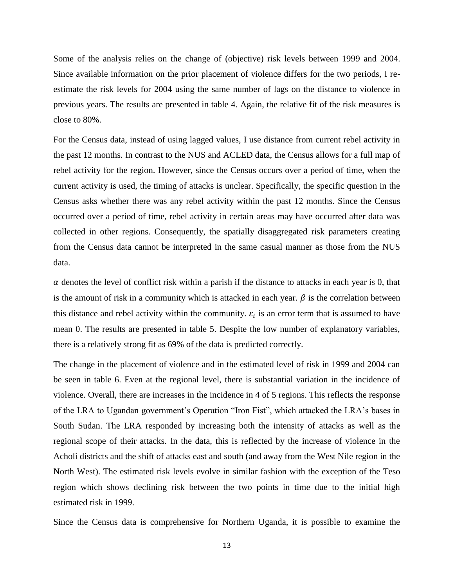Some of the analysis relies on the change of (objective) risk levels between 1999 and 2004. Since available information on the prior placement of violence differs for the two periods, I reestimate the risk levels for 2004 using the same number of lags on the distance to violence in previous years. The results are presented in table 4. Again, the relative fit of the risk measures is close to 80%.

For the Census data, instead of using lagged values, I use distance from current rebel activity in the past 12 months. In contrast to the NUS and ACLED data, the Census allows for a full map of rebel activity for the region. However, since the Census occurs over a period of time, when the current activity is used, the timing of attacks is unclear. Specifically, the specific question in the Census asks whether there was any rebel activity within the past 12 months. Since the Census occurred over a period of time, rebel activity in certain areas may have occurred after data was collected in other regions. Consequently, the spatially disaggregated risk parameters creating from the Census data cannot be interpreted in the same casual manner as those from the NUS data.

 $\alpha$  denotes the level of conflict risk within a parish if the distance to attacks in each year is 0, that is the amount of risk in a community which is attacked in each year.  $\beta$  is the correlation between this distance and rebel activity within the community.  $\varepsilon_i$  is an error term that is assumed to have mean 0. The results are presented in table 5. Despite the low number of explanatory variables, there is a relatively strong fit as 69% of the data is predicted correctly.

The change in the placement of violence and in the estimated level of risk in 1999 and 2004 can be seen in table 6. Even at the regional level, there is substantial variation in the incidence of violence. Overall, there are increases in the incidence in 4 of 5 regions. This reflects the response of the LRA to Ugandan government"s Operation "Iron Fist", which attacked the LRA"s bases in South Sudan. The LRA responded by increasing both the intensity of attacks as well as the regional scope of their attacks. In the data, this is reflected by the increase of violence in the Acholi districts and the shift of attacks east and south (and away from the West Nile region in the North West). The estimated risk levels evolve in similar fashion with the exception of the Teso region which shows declining risk between the two points in time due to the initial high estimated risk in 1999.

Since the Census data is comprehensive for Northern Uganda, it is possible to examine the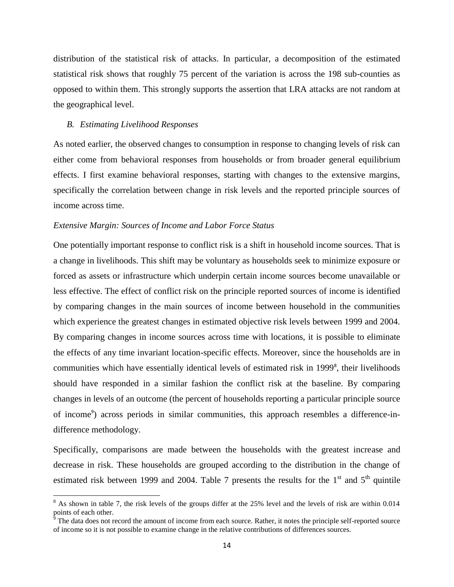distribution of the statistical risk of attacks. In particular, a decomposition of the estimated statistical risk shows that roughly 75 percent of the variation is across the 198 sub-counties as opposed to within them. This strongly supports the assertion that LRA attacks are not random at the geographical level.

#### *B. Estimating Livelihood Responses*

 $\overline{\phantom{a}}$ 

As noted earlier, the observed changes to consumption in response to changing levels of risk can either come from behavioral responses from households or from broader general equilibrium effects. I first examine behavioral responses, starting with changes to the extensive margins, specifically the correlation between change in risk levels and the reported principle sources of income across time.

#### *Extensive Margin: Sources of Income and Labor Force Status*

One potentially important response to conflict risk is a shift in household income sources. That is a change in livelihoods. This shift may be voluntary as households seek to minimize exposure or forced as assets or infrastructure which underpin certain income sources become unavailable or less effective. The effect of conflict risk on the principle reported sources of income is identified by comparing changes in the main sources of income between household in the communities which experience the greatest changes in estimated objective risk levels between 1999 and 2004. By comparing changes in income sources across time with locations, it is possible to eliminate the effects of any time invariant location-specific effects. Moreover, since the households are in communities which have essentially identical levels of estimated risk in 1999<sup>8</sup>, their livelihoods should have responded in a similar fashion the conflict risk at the baseline. By comparing changes in levels of an outcome (the percent of households reporting a particular principle source of income<sup>9</sup>) across periods in similar communities, this approach resembles a difference-indifference methodology.

Specifically, comparisons are made between the households with the greatest increase and decrease in risk. These households are grouped according to the distribution in the change of estimated risk between 1999 and 2004. Table 7 presents the results for the  $1<sup>st</sup>$  and  $5<sup>th</sup>$  quintile

 $8$  As shown in table 7, the risk levels of the groups differ at the 25% level and the levels of risk are within 0.014 points of each other.

 $\delta$  The data does not record the amount of income from each source. Rather, it notes the principle self-reported source of income so it is not possible to examine change in the relative contributions of differences sources.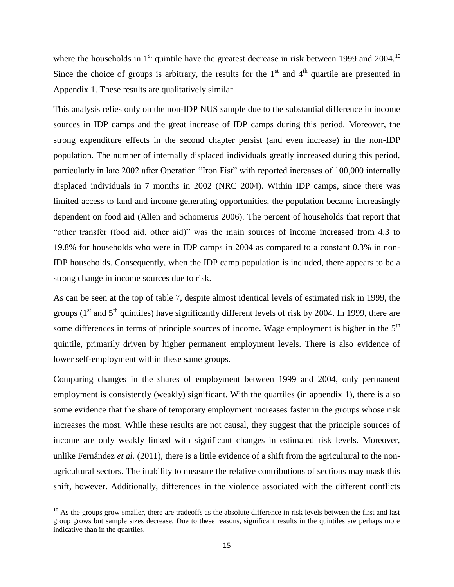where the households in  $1<sup>st</sup>$  quintile have the greatest decrease in risk between 1999 and 2004.<sup>10</sup> Since the choice of groups is arbitrary, the results for the  $1<sup>st</sup>$  and  $4<sup>th</sup>$  quartile are presented in Appendix 1. These results are qualitatively similar.

This analysis relies only on the non-IDP NUS sample due to the substantial difference in income sources in IDP camps and the great increase of IDP camps during this period. Moreover, the strong expenditure effects in the second chapter persist (and even increase) in the non-IDP population. The number of internally displaced individuals greatly increased during this period, particularly in late 2002 after Operation "Iron Fist" with reported increases of 100,000 internally displaced individuals in 7 months in 2002 (NRC 2004). Within IDP camps, since there was limited access to land and income generating opportunities, the population became increasingly dependent on food aid (Allen and Schomerus 2006). The percent of households that report that "other transfer (food aid, other aid)" was the main sources of income increased from 4.3 to 19.8% for households who were in IDP camps in 2004 as compared to a constant 0.3% in non-IDP households. Consequently, when the IDP camp population is included, there appears to be a strong change in income sources due to risk.

As can be seen at the top of table 7, despite almost identical levels of estimated risk in 1999, the groups ( $1<sup>st</sup>$  and  $5<sup>th</sup>$  quintiles) have significantly different levels of risk by 2004. In 1999, there are some differences in terms of principle sources of income. Wage employment is higher in the  $5<sup>th</sup>$ quintile, primarily driven by higher permanent employment levels. There is also evidence of lower self-employment within these same groups.

Comparing changes in the shares of employment between 1999 and 2004, only permanent employment is consistently (weakly) significant. With the quartiles (in appendix 1), there is also some evidence that the share of temporary employment increases faster in the groups whose risk increases the most. While these results are not causal, they suggest that the principle sources of income are only weakly linked with significant changes in estimated risk levels. Moreover, unlike Fernández *et al.* (2011), there is a little evidence of a shift from the agricultural to the nonagricultural sectors. The inability to measure the relative contributions of sections may mask this shift, however. Additionally, differences in the violence associated with the different conflicts

 $\overline{\phantom{a}}$ 

 $10$  As the groups grow smaller, there are tradeoffs as the absolute difference in risk levels between the first and last group grows but sample sizes decrease. Due to these reasons, significant results in the quintiles are perhaps more indicative than in the quartiles.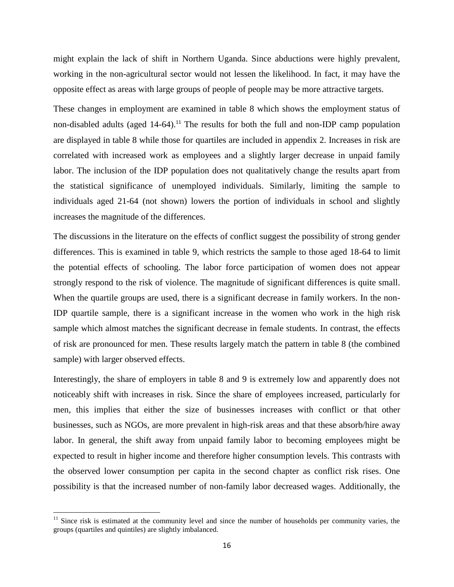might explain the lack of shift in Northern Uganda. Since abductions were highly prevalent, working in the non-agricultural sector would not lessen the likelihood. In fact, it may have the opposite effect as areas with large groups of people of people may be more attractive targets.

These changes in employment are examined in table 8 which shows the employment status of non-disabled adults (aged  $14-64$ ).<sup>11</sup> The results for both the full and non-IDP camp population are displayed in table 8 while those for quartiles are included in appendix 2. Increases in risk are correlated with increased work as employees and a slightly larger decrease in unpaid family labor. The inclusion of the IDP population does not qualitatively change the results apart from the statistical significance of unemployed individuals. Similarly, limiting the sample to individuals aged 21-64 (not shown) lowers the portion of individuals in school and slightly increases the magnitude of the differences.

The discussions in the literature on the effects of conflict suggest the possibility of strong gender differences. This is examined in table 9, which restricts the sample to those aged 18-64 to limit the potential effects of schooling. The labor force participation of women does not appear strongly respond to the risk of violence. The magnitude of significant differences is quite small. When the quartile groups are used, there is a significant decrease in family workers. In the non-IDP quartile sample, there is a significant increase in the women who work in the high risk sample which almost matches the significant decrease in female students. In contrast, the effects of risk are pronounced for men. These results largely match the pattern in table 8 (the combined sample) with larger observed effects.

Interestingly, the share of employers in table 8 and 9 is extremely low and apparently does not noticeably shift with increases in risk. Since the share of employees increased, particularly for men, this implies that either the size of businesses increases with conflict or that other businesses, such as NGOs, are more prevalent in high-risk areas and that these absorb/hire away labor. In general, the shift away from unpaid family labor to becoming employees might be expected to result in higher income and therefore higher consumption levels. This contrasts with the observed lower consumption per capita in the second chapter as conflict risk rises. One possibility is that the increased number of non-family labor decreased wages. Additionally, the

 $\overline{\phantom{a}}$ 

<sup>&</sup>lt;sup>11</sup> Since risk is estimated at the community level and since the number of households per community varies, the groups (quartiles and quintiles) are slightly imbalanced.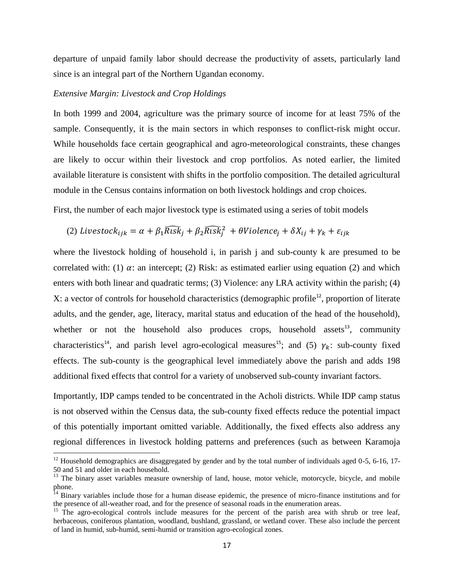departure of unpaid family labor should decrease the productivity of assets, particularly land since is an integral part of the Northern Ugandan economy.

#### *Extensive Margin: Livestock and Crop Holdings*

 $\overline{\phantom{a}}$ 

In both 1999 and 2004, agriculture was the primary source of income for at least 75% of the sample. Consequently, it is the main sectors in which responses to conflict-risk might occur. While households face certain geographical and agro-meteorological constraints, these changes are likely to occur within their livestock and crop portfolios. As noted earlier, the limited available literature is consistent with shifts in the portfolio composition. The detailed agricultural module in the Census contains information on both livestock holdings and crop choices.

First, the number of each major livestock type is estimated using a series of tobit models

(2) *Livestock*<sub>ijk</sub> = 
$$
\alpha + \beta_1 \widehat{Risk}_j + \beta_2 \widehat{Risk}_j^2 + \theta
$$
 *Violence*<sub>j</sub> +  $\delta$ *X*<sub>ij</sub> +  $\gamma$ <sub>k</sub> +  $\varepsilon$ <sub>ijk</sub>

where the livestock holding of household i, in parish j and sub-county k are presumed to be correlated with: (1)  $\alpha$ : an intercept; (2) Risk: as estimated earlier using equation (2) and which enters with both linear and quadratic terms; (3) Violence: any LRA activity within the parish; (4) X: a vector of controls for household characteristics (demographic profile<sup>12</sup>, proportion of literate adults, and the gender, age, literacy, marital status and education of the head of the household), whether or not the household also produces crops, household assets<sup>13</sup>, community characteristics<sup>14</sup>, and parish level agro-ecological measures<sup>15</sup>; and (5)  $\gamma_k$ : sub-county fixed effects. The sub-county is the geographical level immediately above the parish and adds 198 additional fixed effects that control for a variety of unobserved sub-county invariant factors.

Importantly, IDP camps tended to be concentrated in the Acholi districts. While IDP camp status is not observed within the Census data, the sub-county fixed effects reduce the potential impact of this potentially important omitted variable. Additionally, the fixed effects also address any regional differences in livestock holding patterns and preferences (such as between Karamoja

 $12$  Household demographics are disaggregated by gender and by the total number of individuals aged 0-5, 6-16, 17-50 and 51 and older in each household.

<sup>&</sup>lt;sup>13</sup> The binary asset variables measure ownership of land, house, motor vehicle, motorcycle, bicycle, and mobile phone.

<sup>&</sup>lt;sup>14</sup> Binary variables include those for a human disease epidemic, the presence of micro-finance institutions and for the presence of all-weather road, and for the presence of seasonal roads in the enumeration areas.

<sup>&</sup>lt;sup>15</sup> The agro-ecological controls include measures for the percent of the parish area with shrub or tree leaf, herbaceous, coniferous plantation, woodland, bushland, grassland, or wetland cover. These also include the percent of land in humid, sub-humid, semi-humid or transition agro-ecological zones.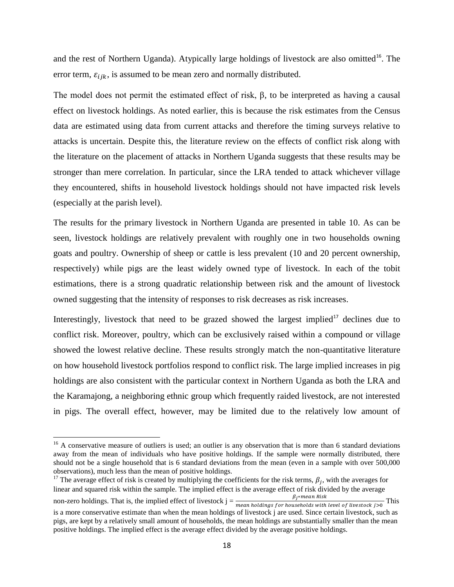and the rest of Northern Uganda). Atypically large holdings of livestock are also omitted<sup>16</sup>. The error term,  $\varepsilon_{ijk}$ , is assumed to be mean zero and normally distributed.

The model does not permit the estimated effect of risk, β, to be interpreted as having a causal effect on livestock holdings. As noted earlier, this is because the risk estimates from the Census data are estimated using data from current attacks and therefore the timing surveys relative to attacks is uncertain. Despite this, the literature review on the effects of conflict risk along with the literature on the placement of attacks in Northern Uganda suggests that these results may be stronger than mere correlation. In particular, since the LRA tended to attack whichever village they encountered, shifts in household livestock holdings should not have impacted risk levels (especially at the parish level).

The results for the primary livestock in Northern Uganda are presented in table 10. As can be seen, livestock holdings are relatively prevalent with roughly one in two households owning goats and poultry. Ownership of sheep or cattle is less prevalent (10 and 20 percent ownership, respectively) while pigs are the least widely owned type of livestock. In each of the tobit estimations, there is a strong quadratic relationship between risk and the amount of livestock owned suggesting that the intensity of responses to risk decreases as risk increases.

Interestingly, livestock that need to be grazed showed the largest implied<sup>17</sup> declines due to conflict risk. Moreover, poultry, which can be exclusively raised within a compound or village showed the lowest relative decline. These results strongly match the non-quantitative literature on how household livestock portfolios respond to conflict risk. The large implied increases in pig holdings are also consistent with the particular context in Northern Uganda as both the LRA and the Karamajong, a neighboring ethnic group which frequently raided livestock, are not interested in pigs. The overall effect, however, may be limited due to the relatively low amount of

 $\overline{a}$ 

<sup>17</sup> The average effect of risk is created by multiplying the coefficients for the risk terms,  $\beta_i$ , with the averages for linear and squared risk within the sample. The implied effect is the average effect of risk divided by the average  $\beta_{i*mean Risk}$ 

 $16$  A conservative measure of outliers is used; an outlier is any observation that is more than 6 standard deviations away from the mean of individuals who have positive holdings. If the sample were normally distributed, there should not be a single household that is 6 standard deviations from the mean (even in a sample with over 500,000 observations), much less than the mean of positive holdings.

non-zero holdings. That is, the implied effect of livestock  $j = \frac{p_j + m_c u n \text{ and } m_b}{m_e a n \text{ holdings for households with level of livestock } j > 0}$  This is a more conservative estimate than when the mean holdings of livestock j are used. Since certain livestock, such as pigs, are kept by a relatively small amount of households, the mean holdings are substantially smaller than the mean positive holdings. The implied effect is the average effect divided by the average positive holdings.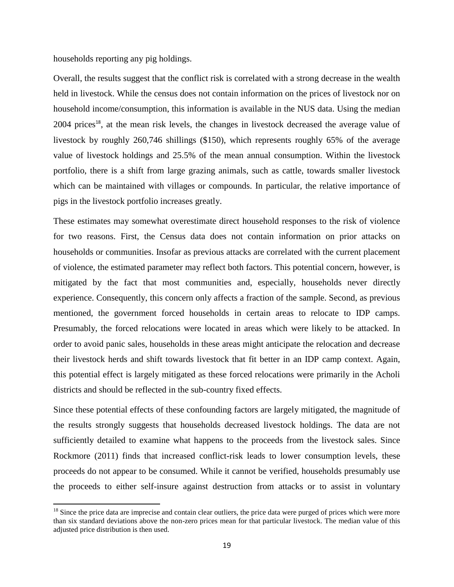households reporting any pig holdings.

 $\overline{\phantom{a}}$ 

Overall, the results suggest that the conflict risk is correlated with a strong decrease in the wealth held in livestock. While the census does not contain information on the prices of livestock nor on household income/consumption, this information is available in the NUS data. Using the median  $2004$  prices<sup>18</sup>, at the mean risk levels, the changes in livestock decreased the average value of livestock by roughly 260,746 shillings (\$150), which represents roughly 65% of the average value of livestock holdings and 25.5% of the mean annual consumption. Within the livestock portfolio, there is a shift from large grazing animals, such as cattle, towards smaller livestock which can be maintained with villages or compounds. In particular, the relative importance of pigs in the livestock portfolio increases greatly.

These estimates may somewhat overestimate direct household responses to the risk of violence for two reasons. First, the Census data does not contain information on prior attacks on households or communities. Insofar as previous attacks are correlated with the current placement of violence, the estimated parameter may reflect both factors. This potential concern, however, is mitigated by the fact that most communities and, especially, households never directly experience. Consequently, this concern only affects a fraction of the sample. Second, as previous mentioned, the government forced households in certain areas to relocate to IDP camps. Presumably, the forced relocations were located in areas which were likely to be attacked. In order to avoid panic sales, households in these areas might anticipate the relocation and decrease their livestock herds and shift towards livestock that fit better in an IDP camp context. Again, this potential effect is largely mitigated as these forced relocations were primarily in the Acholi districts and should be reflected in the sub-country fixed effects.

Since these potential effects of these confounding factors are largely mitigated, the magnitude of the results strongly suggests that households decreased livestock holdings. The data are not sufficiently detailed to examine what happens to the proceeds from the livestock sales. Since Rockmore (2011) finds that increased conflict-risk leads to lower consumption levels, these proceeds do not appear to be consumed. While it cannot be verified, households presumably use the proceeds to either self-insure against destruction from attacks or to assist in voluntary

<sup>&</sup>lt;sup>18</sup> Since the price data are imprecise and contain clear outliers, the price data were purged of prices which were more than six standard deviations above the non-zero prices mean for that particular livestock. The median value of this adjusted price distribution is then used.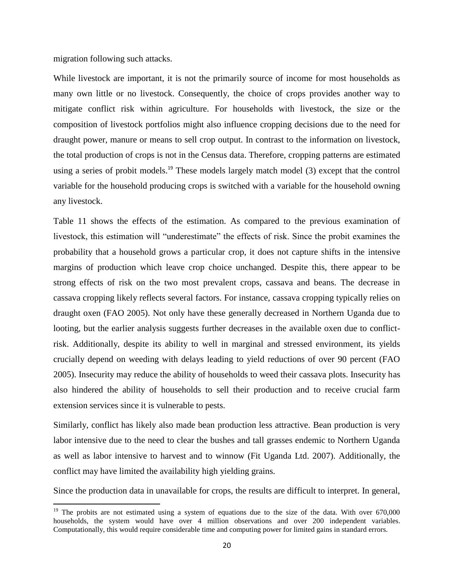migration following such attacks.

 $\overline{\phantom{a}}$ 

While livestock are important, it is not the primarily source of income for most households as many own little or no livestock. Consequently, the choice of crops provides another way to mitigate conflict risk within agriculture. For households with livestock, the size or the composition of livestock portfolios might also influence cropping decisions due to the need for draught power, manure or means to sell crop output. In contrast to the information on livestock, the total production of crops is not in the Census data. Therefore, cropping patterns are estimated using a series of probit models.<sup>19</sup> These models largely match model (3) except that the control variable for the household producing crops is switched with a variable for the household owning any livestock.

Table 11 shows the effects of the estimation. As compared to the previous examination of livestock, this estimation will "underestimate" the effects of risk. Since the probit examines the probability that a household grows a particular crop, it does not capture shifts in the intensive margins of production which leave crop choice unchanged. Despite this, there appear to be strong effects of risk on the two most prevalent crops, cassava and beans. The decrease in cassava cropping likely reflects several factors. For instance, cassava cropping typically relies on draught oxen (FAO 2005). Not only have these generally decreased in Northern Uganda due to looting, but the earlier analysis suggests further decreases in the available oxen due to conflictrisk. Additionally, despite its ability to well in marginal and stressed environment, its yields crucially depend on weeding with delays leading to yield reductions of over 90 percent (FAO 2005). Insecurity may reduce the ability of households to weed their cassava plots. Insecurity has also hindered the ability of households to sell their production and to receive crucial farm extension services since it is vulnerable to pests.

Similarly, conflict has likely also made bean production less attractive. Bean production is very labor intensive due to the need to clear the bushes and tall grasses endemic to Northern Uganda as well as labor intensive to harvest and to winnow (Fit Uganda Ltd. 2007). Additionally, the conflict may have limited the availability high yielding grains.

Since the production data in unavailable for crops, the results are difficult to interpret. In general,

 $19$  The probits are not estimated using a system of equations due to the size of the data. With over 670,000 households, the system would have over 4 million observations and over 200 independent variables. Computationally, this would require considerable time and computing power for limited gains in standard errors.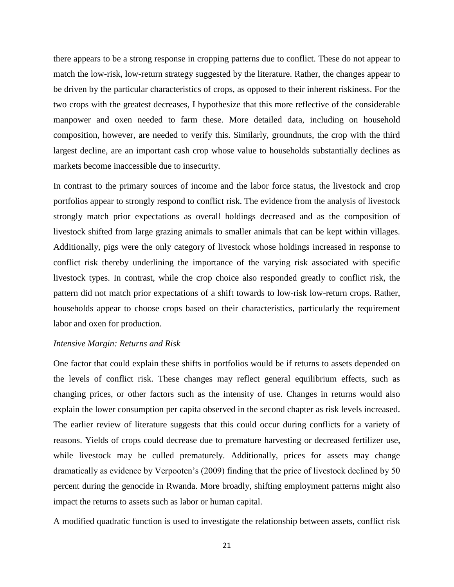there appears to be a strong response in cropping patterns due to conflict. These do not appear to match the low-risk, low-return strategy suggested by the literature. Rather, the changes appear to be driven by the particular characteristics of crops, as opposed to their inherent riskiness. For the two crops with the greatest decreases, I hypothesize that this more reflective of the considerable manpower and oxen needed to farm these. More detailed data, including on household composition, however, are needed to verify this. Similarly, groundnuts, the crop with the third largest decline, are an important cash crop whose value to households substantially declines as markets become inaccessible due to insecurity.

In contrast to the primary sources of income and the labor force status, the livestock and crop portfolios appear to strongly respond to conflict risk. The evidence from the analysis of livestock strongly match prior expectations as overall holdings decreased and as the composition of livestock shifted from large grazing animals to smaller animals that can be kept within villages. Additionally, pigs were the only category of livestock whose holdings increased in response to conflict risk thereby underlining the importance of the varying risk associated with specific livestock types. In contrast, while the crop choice also responded greatly to conflict risk, the pattern did not match prior expectations of a shift towards to low-risk low-return crops. Rather, households appear to choose crops based on their characteristics, particularly the requirement labor and oxen for production.

#### *Intensive Margin: Returns and Risk*

One factor that could explain these shifts in portfolios would be if returns to assets depended on the levels of conflict risk. These changes may reflect general equilibrium effects, such as changing prices, or other factors such as the intensity of use. Changes in returns would also explain the lower consumption per capita observed in the second chapter as risk levels increased. The earlier review of literature suggests that this could occur during conflicts for a variety of reasons. Yields of crops could decrease due to premature harvesting or decreased fertilizer use, while livestock may be culled prematurely. Additionally, prices for assets may change dramatically as evidence by Verpooten"s (2009) finding that the price of livestock declined by 50 percent during the genocide in Rwanda. More broadly, shifting employment patterns might also impact the returns to assets such as labor or human capital.

A modified quadratic function is used to investigate the relationship between assets, conflict risk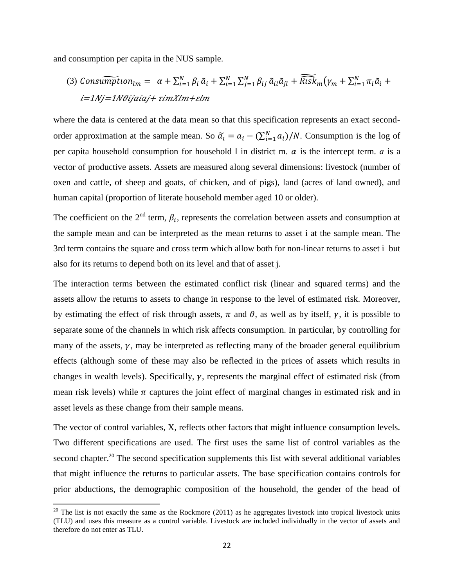and consumption per capita in the NUS sample.

 $\overline{\phantom{a}}$ 

(3) 
$$
Consumpton_{lm} = \alpha + \sum_{i=1}^{N} \beta_i \tilde{a}_i + \sum_{i=1}^{N} \sum_{j=1}^{N} \beta_{ij} \tilde{a}_{il} \tilde{a}_{jl} + \widehat{Risk}_m(\gamma_m + \sum_{i=1}^{N} \pi_i \tilde{a}_i + i = 1/Nj = 1N\theta
$$
ijaiaj+  $\tau$ imXlm+ $\varepsilon$ lm

where the data is centered at the data mean so that this specification represents an exact secondorder approximation at the sample mean. So  $\tilde{a}_i = a_i - (\sum_{i=1}^N a_i)/N$ . Consumption is the log of per capita household consumption for household 1 in district m.  $\alpha$  is the intercept term. *a* is a vector of productive assets. Assets are measured along several dimensions: livestock (number of oxen and cattle, of sheep and goats, of chicken, and of pigs), land (acres of land owned), and human capital (proportion of literate household member aged 10 or older).

The coefficient on the  $2<sup>nd</sup>$  term,  $\beta<sub>i</sub>$ , represents the correlation between assets and consumption at the sample mean and can be interpreted as the mean returns to asset i at the sample mean. The 3rd term contains the square and cross term which allow both for non-linear returns to asset i but also for its returns to depend both on its level and that of asset j.

The interaction terms between the estimated conflict risk (linear and squared terms) and the assets allow the returns to assets to change in response to the level of estimated risk. Moreover, by estimating the effect of risk through assets,  $\pi$  and  $\theta$ , as well as by itself,  $\gamma$ , it is possible to separate some of the channels in which risk affects consumption. In particular, by controlling for many of the assets,  $\gamma$ , may be interpreted as reflecting many of the broader general equilibrium effects (although some of these may also be reflected in the prices of assets which results in changes in wealth levels). Specifically,  $\gamma$ , represents the marginal effect of estimated risk (from mean risk levels) while  $\pi$  captures the joint effect of marginal changes in estimated risk and in asset levels as these change from their sample means.

The vector of control variables, X, reflects other factors that might influence consumption levels. Two different specifications are used. The first uses the same list of control variables as the second chapter.<sup>20</sup> The second specification supplements this list with several additional variables that might influence the returns to particular assets. The base specification contains controls for prior abductions, the demographic composition of the household, the gender of the head of

<sup>&</sup>lt;sup>20</sup> The list is not exactly the same as the Rockmore (2011) as he aggregates livestock into tropical livestock units (TLU) and uses this measure as a control variable. Livestock are included individually in the vector of assets and therefore do not enter as TLU.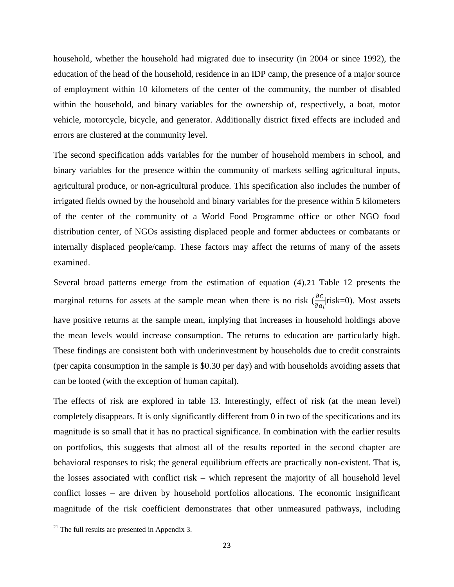household, whether the household had migrated due to insecurity (in 2004 or since 1992), the education of the head of the household, residence in an IDP camp, the presence of a major source of employment within 10 kilometers of the center of the community, the number of disabled within the household, and binary variables for the ownership of, respectively, a boat, motor vehicle, motorcycle, bicycle, and generator. Additionally district fixed effects are included and errors are clustered at the community level.

The second specification adds variables for the number of household members in school, and binary variables for the presence within the community of markets selling agricultural inputs, agricultural produce, or non-agricultural produce. This specification also includes the number of irrigated fields owned by the household and binary variables for the presence within 5 kilometers of the center of the community of a World Food Programme office or other NGO food distribution center, of NGOs assisting displaced people and former abductees or combatants or internally displaced people/camp. These factors may affect the returns of many of the assets examined.

Several broad patterns emerge from the estimation of equation (4).21 Table 12 presents the marginal returns for assets at the sample mean when there is no risk  $\left(\frac{\partial c}{\partial a_i}\middle|{\text{risk}}=0\right)$ . Most assets have positive returns at the sample mean, implying that increases in household holdings above the mean levels would increase consumption. The returns to education are particularly high. These findings are consistent both with underinvestment by households due to credit constraints (per capita consumption in the sample is \$0.30 per day) and with households avoiding assets that can be looted (with the exception of human capital).

The effects of risk are explored in table 13. Interestingly, effect of risk (at the mean level) completely disappears. It is only significantly different from 0 in two of the specifications and its magnitude is so small that it has no practical significance. In combination with the earlier results on portfolios, this suggests that almost all of the results reported in the second chapter are behavioral responses to risk; the general equilibrium effects are practically non-existent. That is, the losses associated with conflict risk – which represent the majority of all household level conflict losses – are driven by household portfolios allocations. The economic insignificant magnitude of the risk coefficient demonstrates that other unmeasured pathways, including

 $\overline{\phantom{a}}$ 

 $21$  The full results are presented in Appendix 3.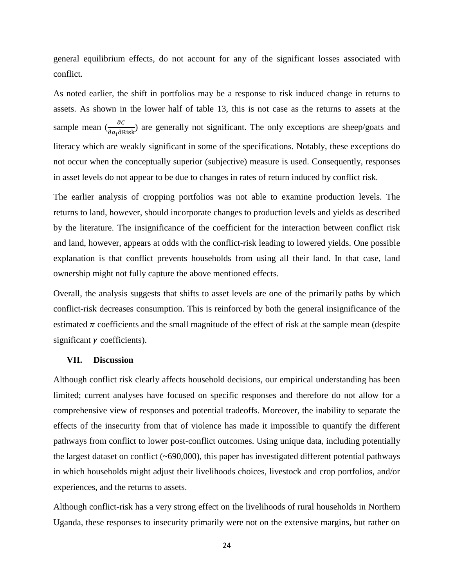general equilibrium effects, do not account for any of the significant losses associated with conflict.

As noted earlier, the shift in portfolios may be a response to risk induced change in returns to assets. As shown in the lower half of table 13, this is not case as the returns to assets at the sample mean  $\left(\frac{\partial C}{\partial a_i \partial \text{Risk}}\right)$  are generally not significant. The only exceptions are sheep/goats and literacy which are weakly significant in some of the specifications. Notably, these exceptions do not occur when the conceptually superior (subjective) measure is used. Consequently, responses in asset levels do not appear to be due to changes in rates of return induced by conflict risk.

The earlier analysis of cropping portfolios was not able to examine production levels. The returns to land, however, should incorporate changes to production levels and yields as described by the literature. The insignificance of the coefficient for the interaction between conflict risk and land, however, appears at odds with the conflict-risk leading to lowered yields. One possible explanation is that conflict prevents households from using all their land. In that case, land ownership might not fully capture the above mentioned effects.

Overall, the analysis suggests that shifts to asset levels are one of the primarily paths by which conflict-risk decreases consumption. This is reinforced by both the general insignificance of the estimated  $\pi$  coefficients and the small magnitude of the effect of risk at the sample mean (despite significant  $\gamma$  coefficients).

#### **VII. Discussion**

Although conflict risk clearly affects household decisions, our empirical understanding has been limited; current analyses have focused on specific responses and therefore do not allow for a comprehensive view of responses and potential tradeoffs. Moreover, the inability to separate the effects of the insecurity from that of violence has made it impossible to quantify the different pathways from conflict to lower post-conflict outcomes. Using unique data, including potentially the largest dataset on conflict (~690,000), this paper has investigated different potential pathways in which households might adjust their livelihoods choices, livestock and crop portfolios, and/or experiences, and the returns to assets.

Although conflict-risk has a very strong effect on the livelihoods of rural households in Northern Uganda, these responses to insecurity primarily were not on the extensive margins, but rather on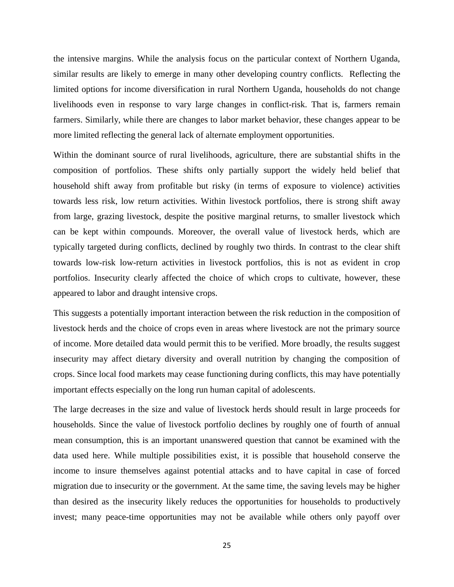the intensive margins. While the analysis focus on the particular context of Northern Uganda, similar results are likely to emerge in many other developing country conflicts. Reflecting the limited options for income diversification in rural Northern Uganda, households do not change livelihoods even in response to vary large changes in conflict-risk. That is, farmers remain farmers. Similarly, while there are changes to labor market behavior, these changes appear to be more limited reflecting the general lack of alternate employment opportunities.

Within the dominant source of rural livelihoods, agriculture, there are substantial shifts in the composition of portfolios. These shifts only partially support the widely held belief that household shift away from profitable but risky (in terms of exposure to violence) activities towards less risk, low return activities. Within livestock portfolios, there is strong shift away from large, grazing livestock, despite the positive marginal returns, to smaller livestock which can be kept within compounds. Moreover, the overall value of livestock herds, which are typically targeted during conflicts, declined by roughly two thirds. In contrast to the clear shift towards low-risk low-return activities in livestock portfolios, this is not as evident in crop portfolios. Insecurity clearly affected the choice of which crops to cultivate, however, these appeared to labor and draught intensive crops.

This suggests a potentially important interaction between the risk reduction in the composition of livestock herds and the choice of crops even in areas where livestock are not the primary source of income. More detailed data would permit this to be verified. More broadly, the results suggest insecurity may affect dietary diversity and overall nutrition by changing the composition of crops. Since local food markets may cease functioning during conflicts, this may have potentially important effects especially on the long run human capital of adolescents.

The large decreases in the size and value of livestock herds should result in large proceeds for households. Since the value of livestock portfolio declines by roughly one of fourth of annual mean consumption, this is an important unanswered question that cannot be examined with the data used here. While multiple possibilities exist, it is possible that household conserve the income to insure themselves against potential attacks and to have capital in case of forced migration due to insecurity or the government. At the same time, the saving levels may be higher than desired as the insecurity likely reduces the opportunities for households to productively invest; many peace-time opportunities may not be available while others only payoff over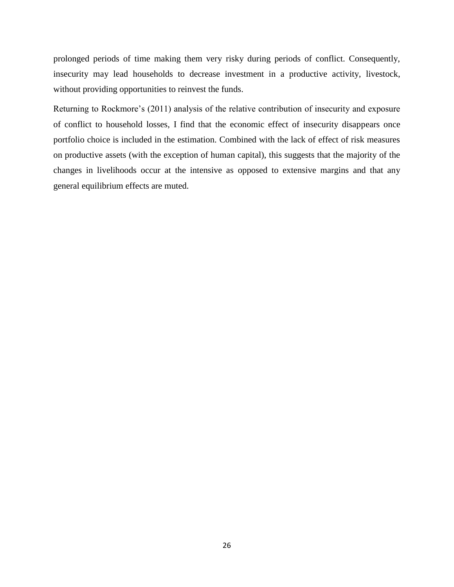prolonged periods of time making them very risky during periods of conflict. Consequently, insecurity may lead households to decrease investment in a productive activity, livestock, without providing opportunities to reinvest the funds.

Returning to Rockmore's (2011) analysis of the relative contribution of insecurity and exposure of conflict to household losses, I find that the economic effect of insecurity disappears once portfolio choice is included in the estimation. Combined with the lack of effect of risk measures on productive assets (with the exception of human capital), this suggests that the majority of the changes in livelihoods occur at the intensive as opposed to extensive margins and that any general equilibrium effects are muted.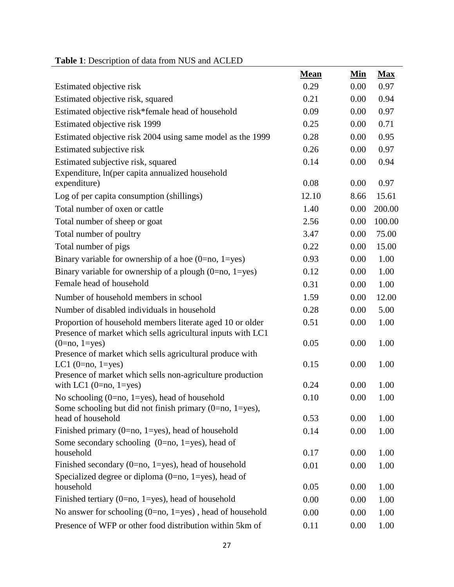|                                                                                                                          | Mean  | <u>Min</u> | <b>Max</b> |
|--------------------------------------------------------------------------------------------------------------------------|-------|------------|------------|
| Estimated objective risk                                                                                                 | 0.29  | 0.00       | 0.97       |
| Estimated objective risk, squared                                                                                        | 0.21  | 0.00       | 0.94       |
| Estimated objective risk*female head of household                                                                        | 0.09  | 0.00       | 0.97       |
| Estimated objective risk 1999                                                                                            | 0.25  | 0.00       | 0.71       |
| Estimated objective risk 2004 using same model as the 1999                                                               | 0.28  | 0.00       | 0.95       |
| Estimated subjective risk                                                                                                | 0.26  | 0.00       | 0.97       |
| Estimated subjective risk, squared                                                                                       | 0.14  | 0.00       | 0.94       |
| Expenditure, ln(per capita annualized household<br>expenditure)                                                          | 0.08  | 0.00       | 0.97       |
| Log of per capita consumption (shillings)                                                                                | 12.10 | 8.66       | 15.61      |
| Total number of oxen or cattle                                                                                           | 1.40  | 0.00       | 200.00     |
| Total number of sheep or goat                                                                                            | 2.56  | 0.00       | 100.00     |
| Total number of poultry                                                                                                  | 3.47  | 0.00       | 75.00      |
| Total number of pigs                                                                                                     | 0.22  | 0.00       | 15.00      |
| Binary variable for ownership of a hoe $(0=no, 1=yes)$                                                                   | 0.93  | 0.00       | 1.00       |
| Binary variable for ownership of a plough $(0=no, 1=yes)$                                                                | 0.12  | 0.00       | 1.00       |
| Female head of household                                                                                                 | 0.31  | 0.00       | 1.00       |
| Number of household members in school                                                                                    | 1.59  | 0.00       | 12.00      |
| Number of disabled individuals in household                                                                              | 0.28  | 0.00       | 5.00       |
| Proportion of household members literate aged 10 or older<br>Presence of market which sells agricultural inputs with LC1 | 0.51  | 0.00       | 1.00       |
| $(0=no, 1=yes)$                                                                                                          | 0.05  | 0.00       | 1.00       |
| Presence of market which sells agricultural produce with                                                                 |       |            |            |
| LC1 $(0=no, 1=yes)$                                                                                                      | 0.15  | 0.00       | 1.00       |
| Presence of market which sells non-agriculture production<br>with LC1 $(0=no, 1=yes)$                                    | 0.24  | 0.00       | 1.00       |
| No schooling $(0=no, 1=yes)$ , head of household                                                                         | 0.10  | 0.00       | 1.00       |
| Some schooling but did not finish primary $(0=no, 1=yes)$ ,                                                              |       |            |            |
| head of household                                                                                                        | 0.53  | 0.00       | 1.00       |
| Finished primary (0=no, 1=yes), head of household                                                                        | 0.14  | 0.00       | 1.00       |
| Some secondary schooling $(0=no, 1=yes)$ , head of                                                                       |       |            |            |
| household                                                                                                                | 0.17  | 0.00       | 1.00       |
| Finished secondary (0=no, 1=yes), head of household                                                                      | 0.01  | 0.00       | 1.00       |
| Specialized degree or diploma $(0=no, 1=yes)$ , head of<br>household                                                     | 0.05  | 0.00       | 1.00       |
| Finished tertiary (0=no, 1=yes), head of household                                                                       | 0.00  | 0.00       | 1.00       |
| No answer for schooling $(0=no, 1=yes)$ , head of household                                                              | 0.00  | 0.00       | 1.00       |
| Presence of WFP or other food distribution within 5km of                                                                 | 0.11  | 0.00       | 1.00       |
|                                                                                                                          |       |            |            |

# **Table 1**: Description of data from NUS and ACLED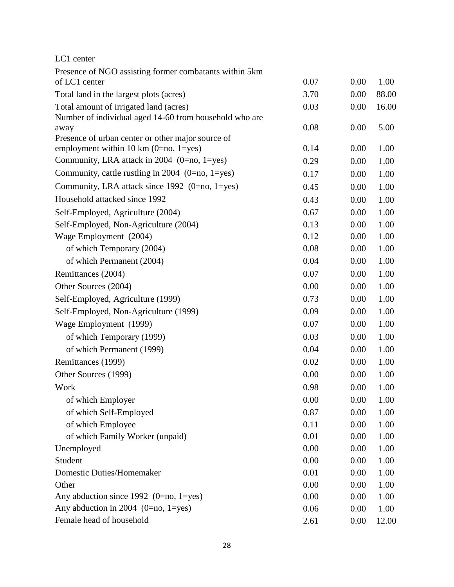| LC1 center                                                                                   |      |      |       |
|----------------------------------------------------------------------------------------------|------|------|-------|
| Presence of NGO assisting former combatants within 5km                                       |      |      |       |
| of LC1 center                                                                                | 0.07 | 0.00 | 1.00  |
| Total land in the largest plots (acres)                                                      | 3.70 | 0.00 | 88.00 |
| Total amount of irrigated land (acres)                                                       | 0.03 | 0.00 | 16.00 |
| Number of individual aged 14-60 from household who are                                       |      |      |       |
| away                                                                                         | 0.08 | 0.00 | 5.00  |
| Presence of urban center or other major source of<br>employment within 10 km $(0=no, 1=yes)$ | 0.14 | 0.00 | 1.00  |
| Community, LRA attack in 2004 (0=no, 1=yes)                                                  | 0.29 | 0.00 | 1.00  |
| Community, cattle rustling in 2004 $(0=no, 1=yes)$                                           | 0.17 | 0.00 | 1.00  |
| Community, LRA attack since 1992 (0=no, 1=yes)                                               | 0.45 | 0.00 | 1.00  |
| Household attacked since 1992                                                                | 0.43 | 0.00 | 1.00  |
| Self-Employed, Agriculture (2004)                                                            | 0.67 | 0.00 | 1.00  |
| Self-Employed, Non-Agriculture (2004)                                                        | 0.13 | 0.00 | 1.00  |
| Wage Employment (2004)                                                                       | 0.12 | 0.00 | 1.00  |
| of which Temporary (2004)                                                                    | 0.08 | 0.00 | 1.00  |
| of which Permanent (2004)                                                                    | 0.04 | 0.00 | 1.00  |
| Remittances (2004)                                                                           | 0.07 | 0.00 | 1.00  |
| Other Sources (2004)                                                                         | 0.00 | 0.00 | 1.00  |
| Self-Employed, Agriculture (1999)                                                            | 0.73 | 0.00 | 1.00  |
| Self-Employed, Non-Agriculture (1999)                                                        | 0.09 | 0.00 | 1.00  |
| Wage Employment (1999)                                                                       | 0.07 | 0.00 | 1.00  |
| of which Temporary (1999)                                                                    | 0.03 | 0.00 | 1.00  |
| of which Permanent (1999)                                                                    | 0.04 | 0.00 | 1.00  |
| Remittances (1999)                                                                           | 0.02 | 0.00 | 1.00  |
| Other Sources (1999)                                                                         | 0.00 | 0.00 | 1.00  |
| Work                                                                                         | 0.98 | 0.00 | 1.00  |
| of which Employer                                                                            | 0.00 | 0.00 | 1.00  |
| of which Self-Employed                                                                       | 0.87 | 0.00 | 1.00  |
| of which Employee                                                                            | 0.11 | 0.00 | 1.00  |
| of which Family Worker (unpaid)                                                              | 0.01 | 0.00 | 1.00  |
| Unemployed                                                                                   | 0.00 | 0.00 | 1.00  |
| Student                                                                                      | 0.00 | 0.00 | 1.00  |
| <b>Domestic Duties/Homemaker</b>                                                             | 0.01 | 0.00 | 1.00  |
| Other                                                                                        | 0.00 | 0.00 | 1.00  |
| Any abduction since 1992 $(0=no, 1=yes)$                                                     | 0.00 | 0.00 | 1.00  |
| Any abduction in 2004 $(0=no, 1=yes)$                                                        | 0.06 | 0.00 | 1.00  |
| Female head of household                                                                     | 2.61 | 0.00 | 12.00 |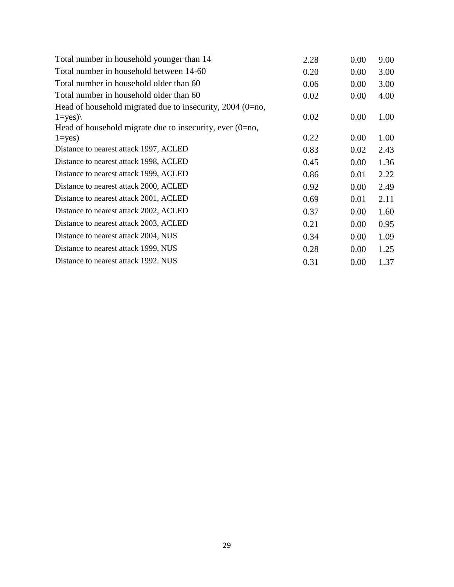| Total number in household younger than 14                   | 2.28 | 0.00 | 9.00 |
|-------------------------------------------------------------|------|------|------|
| Total number in household between 14-60                     | 0.20 | 0.00 | 3.00 |
| Total number in household older than 60                     | 0.06 | 0.00 | 3.00 |
| Total number in household older than 60                     | 0.02 | 0.00 | 4.00 |
| Head of household migrated due to insecurity, $2004$ (0=no, |      |      |      |
| $1 = yes)$                                                  | 0.02 | 0.00 | 1.00 |
| Head of household migrate due to insecurity, ever $(0=no,$  |      |      |      |
| $1 = yes$ )                                                 | 0.22 | 0.00 | 1.00 |
| Distance to nearest attack 1997, ACLED                      | 0.83 | 0.02 | 2.43 |
| Distance to nearest attack 1998, ACLED                      | 0.45 | 0.00 | 1.36 |
| Distance to nearest attack 1999, ACLED                      | 0.86 | 0.01 | 2.22 |
| Distance to nearest attack 2000, ACLED                      | 0.92 | 0.00 | 2.49 |
| Distance to nearest attack 2001, ACLED                      | 0.69 | 0.01 | 2.11 |
| Distance to nearest attack 2002, ACLED                      | 0.37 | 0.00 | 1.60 |
| Distance to nearest attack 2003, ACLED                      | 0.21 | 0.00 | 0.95 |
| Distance to nearest attack 2004, NUS                        | 0.34 | 0.00 | 1.09 |
| Distance to nearest attack 1999, NUS                        | 0.28 | 0.00 | 1.25 |
| Distance to nearest attack 1992. NUS                        | 0.31 | 0.00 | 1.37 |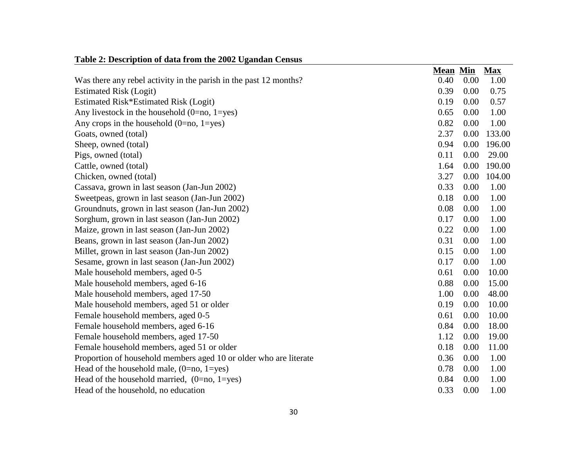| rabic 2. Description of uata from the 2002 Oganuan Census         |                 |      |            |
|-------------------------------------------------------------------|-----------------|------|------------|
|                                                                   | <b>Mean Min</b> |      | <b>Max</b> |
| Was there any rebel activity in the parish in the past 12 months? | 0.40            | 0.00 | 1.00       |
| <b>Estimated Risk (Logit)</b>                                     | 0.39            | 0.00 | 0.75       |
| Estimated Risk*Estimated Risk (Logit)                             | 0.19            | 0.00 | 0.57       |
| Any livestock in the household $(0=no, 1=yes)$                    | 0.65            | 0.00 | 1.00       |
| Any crops in the household $(0=no, 1=yes)$                        | 0.82            | 0.00 | 1.00       |
| Goats, owned (total)                                              | 2.37            | 0.00 | 133.00     |
| Sheep, owned (total)                                              | 0.94            | 0.00 | 196.00     |
| Pigs, owned (total)                                               | 0.11            | 0.00 | 29.00      |
| Cattle, owned (total)                                             | 1.64            | 0.00 | 190.00     |
| Chicken, owned (total)                                            | 3.27            | 0.00 | 104.00     |
| Cassava, grown in last season (Jan-Jun 2002)                      | 0.33            | 0.00 | 1.00       |
| Sweetpeas, grown in last season (Jan-Jun 2002)                    | 0.18            | 0.00 | 1.00       |
| Groundnuts, grown in last season (Jan-Jun 2002)                   | 0.08            | 0.00 | 1.00       |
| Sorghum, grown in last season (Jan-Jun 2002)                      | 0.17            | 0.00 | 1.00       |
| Maize, grown in last season (Jan-Jun 2002)                        | 0.22            | 0.00 | 1.00       |
| Beans, grown in last season (Jan-Jun 2002)                        | 0.31            | 0.00 | 1.00       |
| Millet, grown in last season (Jan-Jun 2002)                       | 0.15            | 0.00 | 1.00       |
| Sesame, grown in last season (Jan-Jun 2002)                       | 0.17            | 0.00 | 1.00       |
| Male household members, aged 0-5                                  | 0.61            | 0.00 | 10.00      |
| Male household members, aged 6-16                                 | 0.88            | 0.00 | 15.00      |
| Male household members, aged 17-50                                | 1.00            | 0.00 | 48.00      |
| Male household members, aged 51 or older                          | 0.19            | 0.00 | 10.00      |
| Female household members, aged 0-5                                | 0.61            | 0.00 | 10.00      |
| Female household members, aged 6-16                               | 0.84            | 0.00 | 18.00      |
| Female household members, aged 17-50                              | 1.12            | 0.00 | 19.00      |
| Female household members, aged 51 or older                        | 0.18            | 0.00 | 11.00      |
| Proportion of household members aged 10 or older who are literate | 0.36            | 0.00 | 1.00       |
| Head of the household male, $(0=no, 1=yes)$                       | 0.78            | 0.00 | 1.00       |
| Head of the household married, $(0=no, 1=yes)$                    | 0.84            | 0.00 | 1.00       |
| Head of the household, no education                               | 0.33            | 0.00 | 1.00       |

# **Table 2: Description of data from the 2002 Ugandan Census**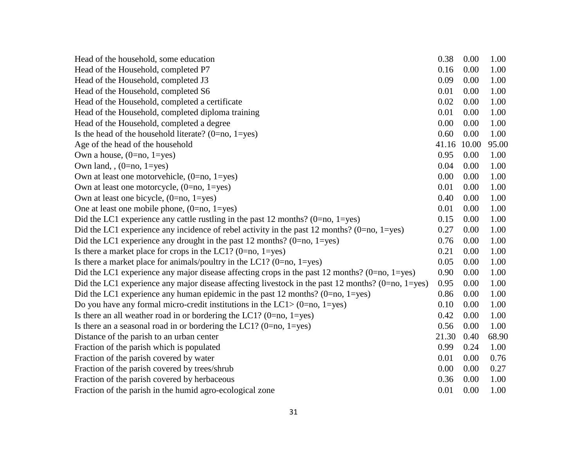| Head of the household, some education                                                               | 0.38  | 0.00  | 1.00  |
|-----------------------------------------------------------------------------------------------------|-------|-------|-------|
| Head of the Household, completed P7                                                                 | 0.16  | 0.00  | 1.00  |
| Head of the Household, completed J3                                                                 | 0.09  | 0.00  | 1.00  |
| Head of the Household, completed S6                                                                 | 0.01  | 0.00  | 1.00  |
| Head of the Household, completed a certificate                                                      | 0.02  | 0.00  | 1.00  |
| Head of the Household, completed diploma training                                                   | 0.01  | 0.00  | 1.00  |
| Head of the Household, completed a degree                                                           | 0.00  | 0.00  | 1.00  |
| Is the head of the household literate? $(0=no, 1=yes)$                                              | 0.60  | 0.00  | 1.00  |
| Age of the head of the household                                                                    | 41.16 | 10.00 | 95.00 |
| Own a house, $(0=no, 1=yes)$                                                                        | 0.95  | 0.00  | 1.00  |
| Own land, $(0=no, 1=yes)$                                                                           | 0.04  | 0.00  | 1.00  |
| Own at least one motorvehicle, $(0=no, 1=yes)$                                                      | 0.00  | 0.00  | 1.00  |
| Own at least one motorcycle, $(0=no, 1=yes)$                                                        | 0.01  | 0.00  | 1.00  |
| Own at least one bicycle, $(0=no, 1=yes)$                                                           | 0.40  | 0.00  | 1.00  |
| One at least one mobile phone, $(0=no, 1=yes)$                                                      | 0.01  | 0.00  | 1.00  |
| Did the LC1 experience any cattle rustling in the past 12 months? $(0=no, 1=yes)$                   | 0.15  | 0.00  | 1.00  |
| Did the LC1 experience any incidence of rebel activity in the past 12 months? $(0=no, 1=yes)$       | 0.27  | 0.00  | 1.00  |
| Did the LC1 experience any drought in the past 12 months? $(0=no, 1=yes)$                           | 0.76  | 0.00  | 1.00  |
| Is there a market place for crops in the LC1? (0=no, 1=yes)                                         | 0.21  | 0.00  | 1.00  |
| Is there a market place for animals/poultry in the LC1? $(0=no, 1=yes)$                             | 0.05  | 0.00  | 1.00  |
| Did the LC1 experience any major disease affecting crops in the past 12 months? $(0=no, 1=yes)$     | 0.90  | 0.00  | 1.00  |
| Did the LC1 experience any major disease affecting livestock in the past 12 months? $(0=no, 1=yes)$ | 0.95  | 0.00  | 1.00  |
| Did the LC1 experience any human epidemic in the past 12 months? $(0=no, 1=yes)$                    | 0.86  | 0.00  | 1.00  |
| Do you have any formal micro-credit institutions in the LC1 $>$ (0=no, 1=yes)                       | 0.10  | 0.00  | 1.00  |
| Is there an all weather road in or bordering the LC1? $(0=no, 1=yes)$                               | 0.42  | 0.00  | 1.00  |
| Is there an a seasonal road in or bordering the LC1? (0=no, 1=yes)                                  | 0.56  | 0.00  | 1.00  |
| Distance of the parish to an urban center                                                           | 21.30 | 0.40  | 68.90 |
| Fraction of the parish which is populated                                                           | 0.99  | 0.24  | 1.00  |
| Fraction of the parish covered by water                                                             | 0.01  | 0.00  | 0.76  |
| Fraction of the parish covered by trees/shrub                                                       | 0.00  | 0.00  | 0.27  |
| Fraction of the parish covered by herbaceous                                                        | 0.36  | 0.00  | 1.00  |
| Fraction of the parish in the humid agro-ecological zone                                            | 0.01  | 0.00  | 1.00  |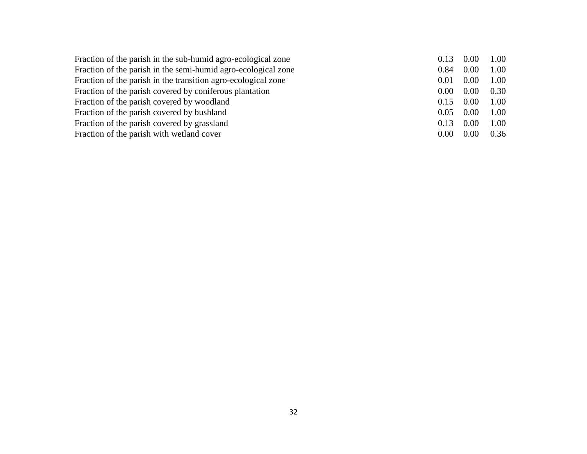| Fraction of the parish in the sub-humid agro-ecological zone  | 0.13 | 0.00 | 1.00 |
|---------------------------------------------------------------|------|------|------|
| Fraction of the parish in the semi-humid agro-ecological zone | 0.84 | 0.00 | 1.00 |
| Fraction of the parish in the transition agro-ecological zone | 0.01 | 0.00 | 1.00 |
| Fraction of the parish covered by coniferous plantation       | 0.00 | 0.00 | 0.30 |
| Fraction of the parish covered by woodland                    | 0.15 | 0.00 | 1.00 |
| Fraction of the parish covered by bushland                    | 0.05 | 0.00 | 1.00 |
| Fraction of the parish covered by grassland                   | 0.13 | 0.00 | 1.00 |
| Fraction of the parish with wetland cover                     | 0.00 | 0.00 | 0.36 |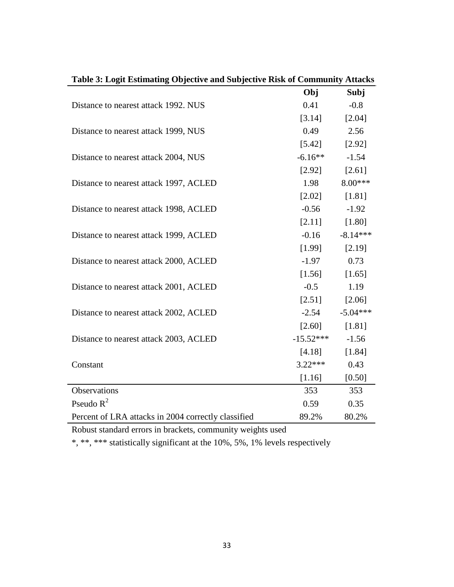| Table 3: Logit Estimating Objective and Subjective Risk of Community Attacks |                   |            |
|------------------------------------------------------------------------------|-------------------|------------|
|                                                                              | Obj               | Subj       |
| Distance to nearest attack 1992. NUS                                         | 0.41              | $-0.8$     |
|                                                                              | [3.14]            | [2.04]     |
| Distance to nearest attack 1999, NUS                                         | 0.49              | 2.56       |
|                                                                              | $[5.42]$ $[2.92]$ |            |
| Distance to nearest attack 2004, NUS                                         | $-6.16** -1.54$   |            |
|                                                                              | $[2.92]$ $[2.61]$ |            |
| Distance to nearest attack 1997, ACLED                                       | 1.98              | 8.00***    |
|                                                                              | [2.02]            | [1.81]     |
| Distance to nearest attack 1998, ACLED                                       | $-0.56$ $-1.92$   |            |
|                                                                              | [2.11]            | [1.80]     |
| Distance to nearest attack 1999, ACLED                                       | $-0.16$           | $-8.14***$ |
|                                                                              | $[1.99]$ $[2.19]$ |            |
| Distance to nearest attack 2000, ACLED                                       | $-1.97$           | 0.73       |
|                                                                              | [1.56]            | [1.65]     |
| Distance to nearest attack 2001, ACLED                                       | $-0.5$            | 1.19       |
|                                                                              | $[2.51]$ $[2.06]$ |            |
| Distance to nearest attack 2002, ACLED                                       | $-2.54$           | $-5.04***$ |
|                                                                              | [2.60]            | [1.81]     |
| Distance to nearest attack 2003, ACLED                                       | $-15.52*** -1.56$ |            |
|                                                                              | [4.18]            | [1.84]     |
| Constant                                                                     | $3.22***$         | 0.43       |
|                                                                              | [1.16]            | [0.50]     |
| Observations                                                                 | 353               | 353        |
| Pseudo $R^2$                                                                 | 0.59              | 0.35       |
| Percent of LRA attacks in 2004 correctly classified                          | 89.2%             | 80.2%      |

Robust standard errors in brackets, community weights used

\*, \*\*, \*\*\* statistically significant at the 10%, 5%, 1% levels respectively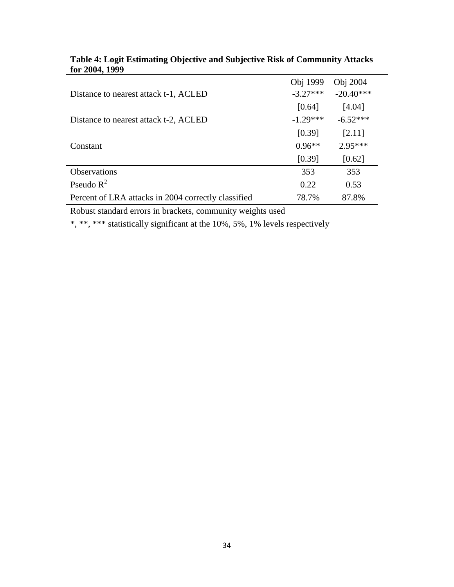|                                                     | Obj 1999   | Obj 2004    |
|-----------------------------------------------------|------------|-------------|
| Distance to nearest attack t-1, ACLED               | $-3.27***$ | $-20.40***$ |
|                                                     | [0.64]     | [4.04]      |
| Distance to nearest attack t-2, ACLED               | $-1.29***$ | $-6.52***$  |
|                                                     | [0.39]     | [2.11]      |
| Constant                                            | $0.96**$   | $2.95***$   |
|                                                     | [0.39]     | [0.62]      |
| <b>Observations</b>                                 | 353        | 353         |
| Pseudo $R^2$                                        | 0.22       | 0.53        |
| Percent of LRA attacks in 2004 correctly classified | 78.7%      | 87.8%       |

#### **Table 4: Logit Estimating Objective and Subjective Risk of Community Attacks for 2004, 1999**

Robust standard errors in brackets, community weights used

\*, \*\*, \*\*\* statistically significant at the 10%, 5%, 1% levels respectively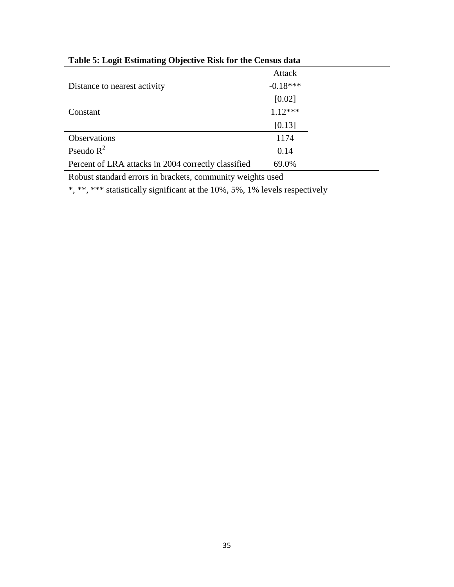|                                                     | Attack     |
|-----------------------------------------------------|------------|
| Distance to nearest activity                        | $-0.18***$ |
|                                                     | [0.02]     |
| Constant                                            | $1.12***$  |
|                                                     | [0.13]     |
| Observations                                        | 1174       |
| Pseudo $R^2$                                        | 0.14       |
| Percent of LRA attacks in 2004 correctly classified | 69.0%      |

**Table 5: Logit Estimating Objective Risk for the Census data**

Robust standard errors in brackets, community weights used

\*, \*\*, \*\*\* statistically significant at the 10%, 5%, 1% levels respectively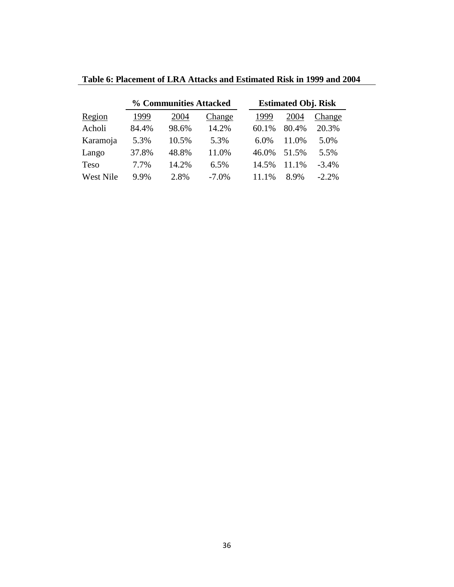|             | % Communities Attacked |       |          | <b>Estimated Obj. Risk</b> |       |       |          |
|-------------|------------------------|-------|----------|----------------------------|-------|-------|----------|
| Region      | 1999                   | 2004  | Change   |                            | 1999  | 2004  | Change   |
| Acholi      | 84.4%                  | 98.6% | 14.2%    |                            | 60.1% | 80.4% | 20.3%    |
| Karamoja    | 5.3%                   | 10.5% | 5.3%     |                            | 6.0%  | 11.0% | 5.0%     |
| Lango       | 37.8%                  | 48.8% | 11.0%    |                            | 46.0% | 51.5% | 5.5%     |
| <b>Teso</b> | 7.7%                   | 14.2% | 6.5%     |                            | 14.5% | 11.1% | $-3.4\%$ |
| West Nile   | $9.9\%$                | 2.8%  | $-7.0\%$ |                            | 11.1% | 8.9%  | $-2.2\%$ |

**Table 6: Placement of LRA Attacks and Estimated Risk in 1999 and 2004**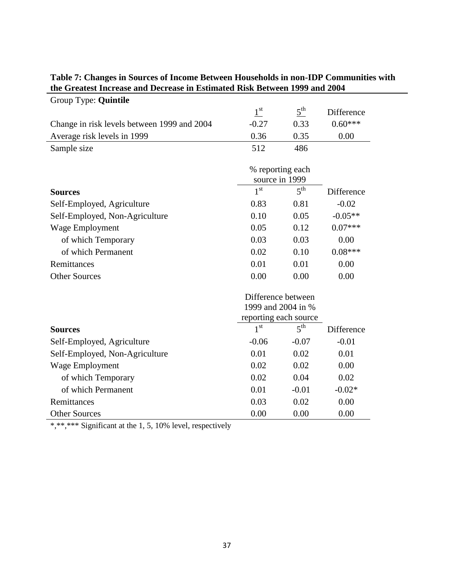| Group Type: Quintile                        |                                                                   |                 |            |
|---------------------------------------------|-------------------------------------------------------------------|-----------------|------------|
|                                             | $1^{\rm st}$                                                      | 5 <sup>th</sup> | Difference |
| Change in risk levels between 1999 and 2004 | $-0.27$                                                           | 0.33            | $0.60***$  |
| Average risk levels in 1999                 | 0.36                                                              | 0.35            | 0.00       |
| Sample size                                 | 512                                                               | 486             |            |
|                                             | % reporting each<br>source in 1999                                |                 |            |
| <b>Sources</b>                              | 1 <sup>st</sup>                                                   | $5^{\text{th}}$ | Difference |
| Self-Employed, Agriculture                  | 0.83                                                              | 0.81            | $-0.02$    |
| Self-Employed, Non-Agriculture              | 0.10                                                              | 0.05            | $-0.05**$  |
| Wage Employment                             | 0.05                                                              | 0.12            | $0.07***$  |
| of which Temporary                          | 0.03                                                              | 0.03            | 0.00       |
| of which Permanent                          | 0.02                                                              | 0.10            | $0.08***$  |
| Remittances                                 | 0.01                                                              | 0.01            | 0.00       |
| <b>Other Sources</b>                        | 0.00                                                              | 0.00            | 0.00       |
|                                             | Difference between<br>1999 and 2004 in %<br>reporting each source |                 |            |
| <b>Sources</b>                              | 1 <sup>st</sup>                                                   | 5 <sup>th</sup> | Difference |
| Self-Employed, Agriculture                  | $-0.06$                                                           | $-0.07$         | $-0.01$    |
| Self-Employed, Non-Agriculture              | 0.01                                                              | 0.02            | 0.01       |
| <b>Wage Employment</b>                      | 0.02                                                              | 0.02            | 0.00       |
| of which Temporary                          | 0.02                                                              | 0.04            | 0.02       |
| of which Permanent                          | 0.01                                                              | $-0.01$         | $-0.02*$   |
| Remittances                                 | 0.03                                                              | 0.02            | 0.00       |
| <b>Other Sources</b>                        | 0.00                                                              | 0.00            | 0.00       |

## **Table 7: Changes in Sources of Income Between Households in non-IDP Communities with the Greatest Increase and Decrease in Estimated Risk Between 1999 and 2004**

\*,\*\*,\*\*\* Significant at the 1, 5, 10% level, respectively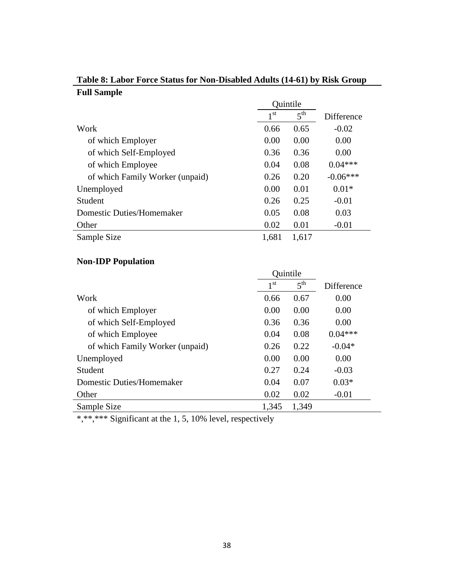|                                  | Quintile        |                 |            |
|----------------------------------|-----------------|-----------------|------------|
|                                  | 1 <sup>st</sup> | $5^{\text{th}}$ | Difference |
| Work                             | 0.66            | 0.65            | $-0.02$    |
| of which Employer                | 0.00            | 0.00            | 0.00       |
| of which Self-Employed           | 0.36            | 0.36            | 0.00       |
| of which Employee                | 0.04            | 0.08            | $0.04***$  |
| of which Family Worker (unpaid)  | 0.26            | 0.20            | $-0.06***$ |
| Unemployed                       | 0.00            | 0.01            | $0.01*$    |
| Student                          | 0.26            | 0.25            | $-0.01$    |
| <b>Domestic Duties/Homemaker</b> | 0.05            | 0.08            | 0.03       |
| Other                            | 0.02            | 0.01            | $-0.01$    |
| Sample Size                      | 1,681           | 1,617           |            |

# **Table 8: Labor Force Status for Non-Disabled Adults (14-61) by Risk Group Full Sample**

# **Non-IDP Population**

|                                  | Quintile        |                 |                   |
|----------------------------------|-----------------|-----------------|-------------------|
|                                  | 1 <sup>st</sup> | 5 <sup>th</sup> | <b>Difference</b> |
| Work                             | 0.66            | 0.67            | 0.00              |
| of which Employer                | 0.00            | 0.00            | 0.00              |
| of which Self-Employed           | 0.36            | 0.36            | 0.00              |
| of which Employee                | 0.04            | 0.08            | $0.04***$         |
| of which Family Worker (unpaid)  | 0.26            | 0.22            | $-0.04*$          |
| Unemployed                       | 0.00            | 0.00            | 0.00              |
| Student                          | 0.27            | 0.24            | $-0.03$           |
| <b>Domestic Duties/Homemaker</b> | 0.04            | 0.07            | $0.03*$           |
| Other                            | 0.02            | 0.02            | $-0.01$           |
| Sample Size                      | 1,345           | 1,349           |                   |

\*,\*\*,\*\*\* Significant at the 1, 5, 10% level, respectively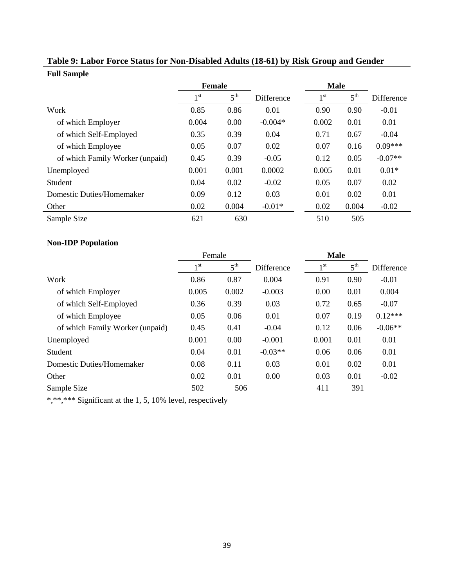|                                 | <b>Female</b> |                 |            | <b>Male</b>     |                 |            |
|---------------------------------|---------------|-----------------|------------|-----------------|-----------------|------------|
|                                 | 1 st          | $5^{\text{th}}$ | Difference | 1 <sup>st</sup> | $5^{\text{th}}$ | Difference |
| Work                            | 0.85          | 0.86            | 0.01       | 0.90            | 0.90            | $-0.01$    |
| of which Employer               | 0.004         | 0.00            | $-0.004*$  | 0.002           | 0.01            | 0.01       |
| of which Self-Employed          | 0.35          | 0.39            | 0.04       | 0.71            | 0.67            | $-0.04$    |
| of which Employee               | 0.05          | 0.07            | 0.02       | 0.07            | 0.16            | $0.09***$  |
| of which Family Worker (unpaid) | 0.45          | 0.39            | $-0.05$    | 0.12            | 0.05            | $-0.07**$  |
| Unemployed                      | 0.001         | 0.001           | 0.0002     | 0.005           | 0.01            | $0.01*$    |
| Student                         | 0.04          | 0.02            | $-0.02$    | 0.05            | 0.07            | 0.02       |
| Domestic Duties/Homemaker       | 0.09          | 0.12            | 0.03       | 0.01            | 0.02            | 0.01       |
| Other                           | 0.02          | 0.004           | $-0.01*$   | 0.02            | 0.004           | $-0.02$    |
| Sample Size                     | 621           | 630             |            | 510             | 505             |            |

# **Table 9: Labor Force Status for Non-Disabled Adults (18-61) by Risk Group and Gender Full Sample**

# **Non-IDP Population**

|                                  | Female       |                 |            | <b>Male</b>     |                 |            |
|----------------------------------|--------------|-----------------|------------|-----------------|-----------------|------------|
|                                  | $1^{\rm st}$ | $5^{\text{th}}$ | Difference | 1 <sub>st</sub> | $5^{\text{th}}$ | Difference |
| Work                             | 0.86         | 0.87            | 0.004      | 0.91            | 0.90            | $-0.01$    |
| of which Employer                | 0.005        | 0.002           | $-0.003$   | 0.00            | 0.01            | 0.004      |
| of which Self-Employed           | 0.36         | 0.39            | 0.03       | 0.72            | 0.65            | $-0.07$    |
| of which Employee                | 0.05         | 0.06            | 0.01       | 0.07            | 0.19            | $0.12***$  |
| of which Family Worker (unpaid)  | 0.45         | 0.41            | $-0.04$    | 0.12            | 0.06            | $-0.06**$  |
| Unemployed                       | 0.001        | 0.00            | $-0.001$   | 0.001           | 0.01            | 0.01       |
| Student                          | 0.04         | 0.01            | $-0.03**$  | 0.06            | 0.06            | 0.01       |
| <b>Domestic Duties/Homemaker</b> | 0.08         | 0.11            | 0.03       | 0.01            | 0.02            | 0.01       |
| Other                            | 0.02         | 0.01            | 0.00       | 0.03            | 0.01            | $-0.02$    |
| Sample Size                      | 502          | 506             |            | 411             | 391             |            |

\*,\*\*\*\* Significant at the 1, 5, 10% level, respectively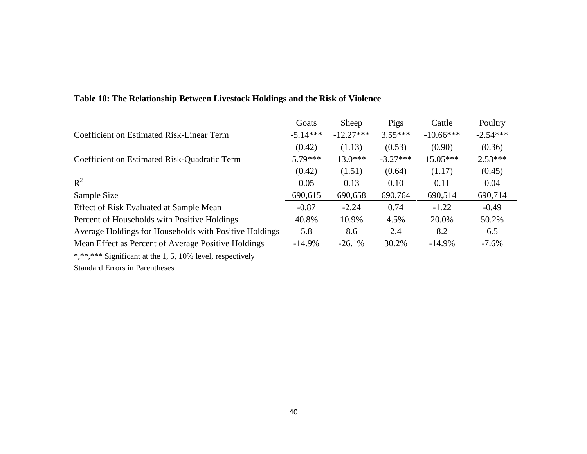|                                                        | Goats      | <b>Sheep</b> | Pigs       | Cattle      | Poultry    |
|--------------------------------------------------------|------------|--------------|------------|-------------|------------|
| Coefficient on Estimated Risk-Linear Term              | $-5.14***$ | $-12.27***$  | $3.55***$  | $-10.66***$ | $-2.54***$ |
|                                                        | (0.42)     | (1.13)       | (0.53)     | (0.90)      | (0.36)     |
| Coefficient on Estimated Risk-Quadratic Term           | $5.79***$  | $13.0***$    | $-3.27***$ | $15.05***$  | $2.53***$  |
|                                                        | (0.42)     | (1.51)       | (0.64)     | (1.17)      | (0.45)     |
| $R^2$                                                  | 0.05       | 0.13         | 0.10       | 0.11        | 0.04       |
| Sample Size                                            | 690,615    | 690,658      | 690,764    | 690,514     | 690,714    |
| Effect of Risk Evaluated at Sample Mean                | $-0.87$    | $-2.24$      | 0.74       | $-1.22$     | $-0.49$    |
| Percent of Households with Positive Holdings           | 40.8%      | 10.9%        | 4.5%       | 20.0%       | 50.2%      |
| Average Holdings for Households with Positive Holdings | 5.8        | 8.6          | 2.4        | 8.2         | 6.5        |
| Mean Effect as Percent of Average Positive Holdings    | $-14.9%$   | $-26.1%$     | 30.2%      | $-14.9%$    | $-7.6\%$   |

# **Table 10: The Relationship Between Livestock Holdings and the Risk of Violence**

\*,\*\*,\*\*\* Significant at the 1, 5, 10% level, respectively

Standard Errors in Parentheses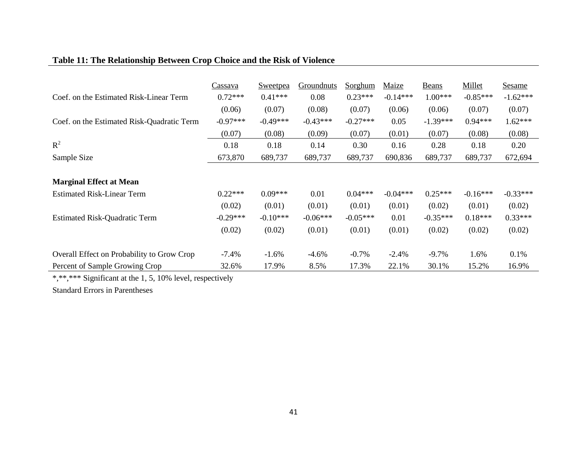# **Table 11: The Relationship Between Crop Choice and the Risk of Violence**

|                                            | Cassava    | Sweetpea   | Groundnuts | Sorghum    | Maize      | Beans      | Millet     | <b>Sesame</b> |
|--------------------------------------------|------------|------------|------------|------------|------------|------------|------------|---------------|
| Coef. on the Estimated Risk-Linear Term    | $0.72***$  | $0.41***$  | 0.08       | $0.23***$  | $-0.14***$ | $1.00***$  | $-0.85***$ | $-1.62***$    |
|                                            | (0.06)     | (0.07)     | (0.08)     | (0.07)     | (0.06)     | (0.06)     | (0.07)     | (0.07)        |
| Coef. on the Estimated Risk-Quadratic Term | $-0.97***$ | $-0.49***$ | $-0.43***$ | $-0.27***$ | 0.05       | $-1.39***$ | $0.94***$  | $1.62***$     |
|                                            | (0.07)     | (0.08)     | (0.09)     | (0.07)     | (0.01)     | (0.07)     | (0.08)     | (0.08)        |
| $R^2$                                      | 0.18       | 0.18       | 0.14       | 0.30       | 0.16       | 0.28       | 0.18       | 0.20          |
| Sample Size                                | 673,870    | 689,737    | 689,737    | 689,737    | 690,836    | 689,737    | 689,737    | 672,694       |
|                                            |            |            |            |            |            |            |            |               |
| <b>Marginal Effect at Mean</b>             |            |            |            |            |            |            |            |               |
| <b>Estimated Risk-Linear Term</b>          | $0.22***$  | $0.09***$  | 0.01       | $0.04***$  | $-0.04***$ | $0.25***$  | $-0.16***$ | $-0.33***$    |
|                                            | (0.02)     | (0.01)     | (0.01)     | (0.01)     | (0.01)     | (0.02)     | (0.01)     | (0.02)        |
| <b>Estimated Risk-Quadratic Term</b>       | $-0.29***$ | $-0.10***$ | $-0.06***$ | $-0.05***$ | 0.01       | $-0.35***$ | $0.18***$  | $0.33***$     |
|                                            | (0.02)     | (0.02)     | (0.01)     | (0.01)     | (0.01)     | (0.02)     | (0.02)     | (0.02)        |
| Overall Effect on Probability to Grow Crop | $-7.4%$    | $-1.6%$    | $-4.6%$    | $-0.7%$    | $-2.4%$    | $-9.7%$    | 1.6%       | 0.1%          |
| Percent of Sample Growing Crop             | 32.6%      | 17.9%      | 8.5%       | 17.3%      | 22.1%      | 30.1%      | 15.2%      | 16.9%         |

\*,\*\*,\*\*\* Significant at the 1, 5, 10% level, respectively

Standard Errors in Parentheses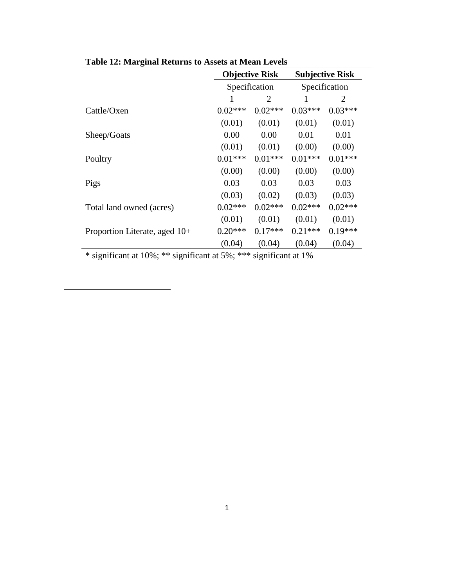|                               | <b>Objective Risk</b> |                |           | <b>Subjective Risk</b> |
|-------------------------------|-----------------------|----------------|-----------|------------------------|
|                               |                       | Specification  |           | Specification          |
|                               | $\mathbf{1}$          | $\overline{2}$ | 1         | $\overline{2}$         |
| Cattle/Oxen                   | $0.02***$             | $0.02***$      | $0.03***$ | $0.03***$              |
|                               | (0.01)                | (0.01)         | (0.01)    | (0.01)                 |
| Sheep/Goats                   | 0.00                  | 0.00           | 0.01      | 0.01                   |
|                               | (0.01)                | (0.01)         | (0.00)    | (0.00)                 |
| Poultry                       | $0.01***$             | $0.01***$      | $0.01***$ | $0.01***$              |
|                               | (0.00)                | (0.00)         | (0.00)    | (0.00)                 |
| Pigs                          | 0.03                  | 0.03           | 0.03      | 0.03                   |
|                               | (0.03)                | (0.02)         | (0.03)    | (0.03)                 |
| Total land owned (acres)      | $0.02***$             | $0.02***$      | $0.02***$ | $0.02***$              |
|                               | (0.01)                | (0.01)         | (0.01)    | (0.01)                 |
| Proportion Literate, aged 10+ | $0.20***$             | $0.17***$      | $0.21***$ | $0.19***$              |
|                               | (0.04)                | (0.04)         | (0.04)    | (0.04)                 |

**Table 12: Marginal Returns to Assets at Mean Levels**

\* significant at 10%; \*\* significant at 5%; \*\*\* significant at 1%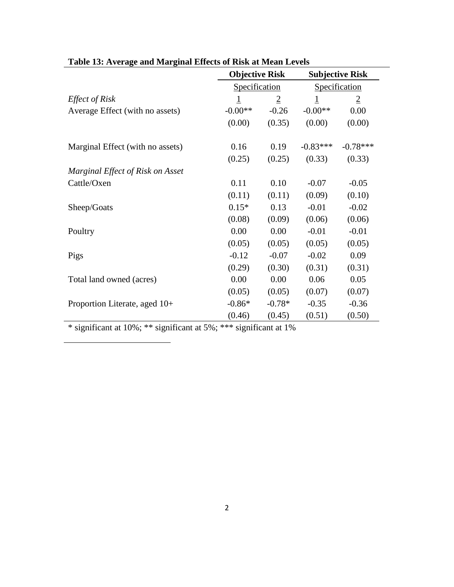| <b>Objective Risk</b> |                |                          | <b>Subjective Risk</b> |
|-----------------------|----------------|--------------------------|------------------------|
| Specification         |                | Specification            |                        |
| $\overline{1}$        | $\overline{2}$ | $\mathbf{\underline{1}}$ | $\overline{2}$         |
| $-0.00**$             | $-0.26$        | $-0.00**$                | 0.00                   |
| (0.00)                | (0.35)         | (0.00)                   | (0.00)                 |
| 0.16                  | 0.19           | $-0.83***$               | $-0.78***$             |
| (0.25)                | (0.25)         | (0.33)                   | (0.33)                 |
|                       |                |                          |                        |
| 0.11                  | 0.10           | $-0.07$                  | $-0.05$                |
| (0.11)                | (0.11)         | (0.09)                   | (0.10)                 |
| $0.15*$               | 0.13           | $-0.01$                  | $-0.02$                |
| (0.08)                | (0.09)         | (0.06)                   | (0.06)                 |
| 0.00                  | 0.00           | $-0.01$                  | $-0.01$                |
| (0.05)                | (0.05)         | (0.05)                   | (0.05)                 |
| $-0.12$               | $-0.07$        | $-0.02$                  | 0.09                   |
| (0.29)                | (0.30)         | (0.31)                   | (0.31)                 |
| 0.00                  | 0.00           | 0.06                     | 0.05                   |
| (0.05)                | (0.05)         | (0.07)                   | (0.07)                 |
| $-0.86*$              | $-0.78*$       | $-0.35$                  | $-0.36$                |
| (0.46)                | (0.45)         | (0.51)                   | (0.50)                 |
|                       |                |                          |                        |

# **Table 13: Average and Marginal Effects of Risk at Mean Levels**

\* significant at 10%; \*\* significant at 5%; \*\*\* significant at 1%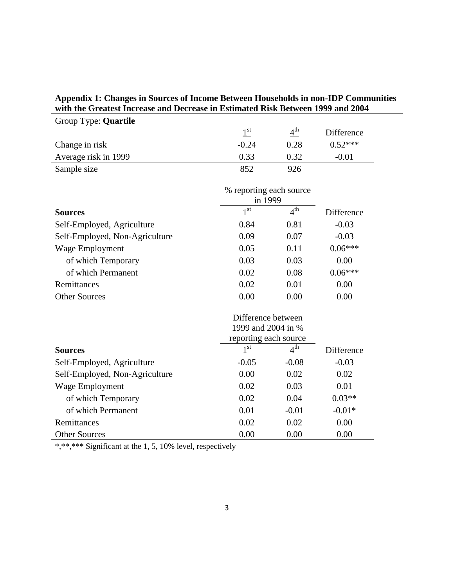# **Appendix 1: Changes in Sources of Income Between Households in non-IDP Communities with the Greatest Increase and Decrease in Estimated Risk Between 1999 and 2004**

| Group Type: <b>Quartile</b> |         |                 |            |
|-----------------------------|---------|-----------------|------------|
|                             | 1 st    | $4^{\text{th}}$ | Difference |
| Change in risk              | $-0.24$ | 0.28            | $0.52***$  |
| Average risk in 1999        | 0.33    | 0.32            | $-0.01$    |
| Sample size                 | 852     | 926             |            |

|                                | % reporting each source<br>in 1999 |                 |                   |
|--------------------------------|------------------------------------|-----------------|-------------------|
| <b>Sources</b>                 | $1^{\rm st}$                       | 4 <sup>th</sup> | Difference        |
| Self-Employed, Agriculture     | 0.84                               | 0.81            | $-0.03$           |
| Self-Employed, Non-Agriculture | 0.09                               | 0.07            | $-0.03$           |
| Wage Employment                | 0.05                               | 0.11            | $0.06***$         |
| of which Temporary             | 0.03                               | 0.03            | 0.00              |
| of which Permanent             | 0.02                               | 0.08            | $0.06***$         |
| Remittances                    | 0.02                               | 0.01            | 0.00              |
| <b>Other Sources</b>           | 0.00                               | 0.00            | 0.00              |
|                                | Difference between                 |                 |                   |
|                                | 1999 and 2004 in %                 |                 |                   |
|                                | reporting each source              |                 |                   |
| <b>Sources</b>                 | 1 <sup>st</sup>                    | 4 <sup>th</sup> | <b>Difference</b> |
| Self-Employed, Agriculture     | $-0.05$                            | $-0.08$         | $-0.03$           |
| Self-Employed, Non-Agriculture | 0.00                               | 0.02            | 0.02              |
| Wage Employment                | 0.02                               | 0.03            | 0.01              |
| of which Temporary             | 0.02                               | 0.04            | $0.03**$          |

of which Permanent 0.01 -0.01 -0.01 -0.01 -0.01 -0.01 -0.01 -0.01 -0.01 -0.01 -0.01 -0.01 -0.01 -0.01 -0.01 -0.01 -0.01 -0.01 -0.01 -0.01 -0.01 -0.01 -0.01 -0.01 -0.01 -0.01 -0.01 -0.01 -0.01 -0.01 -0.01 -0.01 -0.01 -0.01 Remittances 0.02 0.02 0.00

Other Sources 0.00 0.00 0.00 0.00 \*,\*\*,\*\*\* Significant at the 1, 5, 10% level, respectively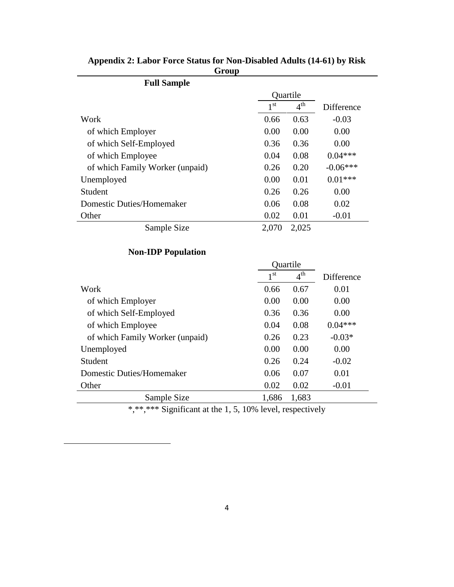| <b>Full Sample</b>              |                 |                 |            |
|---------------------------------|-----------------|-----------------|------------|
|                                 |                 | Quartile        |            |
|                                 | 1 <sup>st</sup> | $4^{\text{th}}$ | Difference |
| Work                            | 0.66            | 0.63            | $-0.03$    |
| of which Employer               | 0.00            | 0.00            | 0.00       |
| of which Self-Employed          | 0.36            | 0.36            | 0.00       |
| of which Employee               | 0.04            | 0.08            | $0.04***$  |
| of which Family Worker (unpaid) | 0.26            | 0.20            | $-0.06***$ |
| Unemployed                      | 0.00            | 0.01            | $0.01***$  |
| Student                         | 0.26            | 0.26            | 0.00       |
| Domestic Duties/Homemaker       | 0.06            | 0.08            | 0.02       |
| Other                           | 0.02            | 0.01            | $-0.01$    |
| Sample Size                     | 2,070           | 2,025           |            |

**Appendix 2: Labor Force Status for Non-Disabled Adults (14-61) by Risk Group**

# **Non-IDP Population**

|                                  | Quartile        |                 |            |
|----------------------------------|-----------------|-----------------|------------|
|                                  | 1 <sup>st</sup> | $4^{\text{th}}$ | Difference |
| Work                             | 0.66            | 0.67            | 0.01       |
| of which Employer                | 0.00            | 0.00            | 0.00       |
| of which Self-Employed           | 0.36            | 0.36            | 0.00       |
| of which Employee                | 0.04            | 0.08            | $0.04***$  |
| of which Family Worker (unpaid)  | 0.26            | 0.23            | $-0.03*$   |
| Unemployed                       | 0.00            | 0.00            | 0.00       |
| Student                          | 0.26            | 0.24            | $-0.02$    |
| <b>Domestic Duties/Homemaker</b> | 0.06            | 0.07            | 0.01       |
| Other                            | 0.02            | 0.02            | $-0.01$    |
| Sample Size                      | 1,686           | 1,683           |            |
|                                  |                 |                 |            |

\*,\*\*,\*\*\* Significant at the 1, 5, 10% level, respectively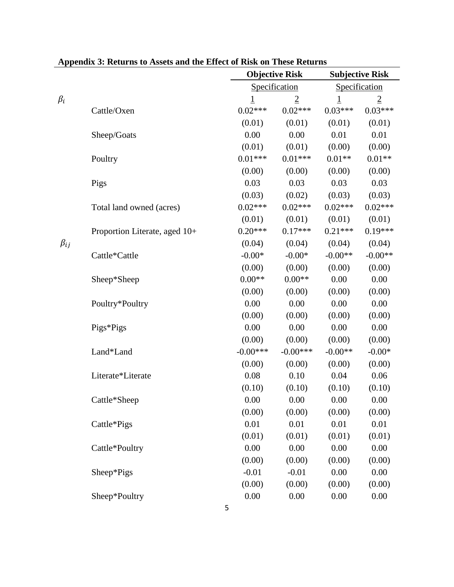|              | Appendix 9. Keturns to Assets and the Effect of Kisk on These Keturns |            | <b>Objective Risk</b> |           | <b>Subjective Risk</b> |
|--------------|-----------------------------------------------------------------------|------------|-----------------------|-----------|------------------------|
|              |                                                                       |            | Specification         |           | Specification          |
| $\beta_i$    |                                                                       | <u>1</u>   | $\overline{2}$        | <u>1</u>  | $\overline{2}$         |
|              | Cattle/Oxen                                                           | $0.02***$  | $0.02***$             | $0.03***$ | $0.03***$              |
|              |                                                                       | (0.01)     | (0.01)                | (0.01)    | (0.01)                 |
|              | Sheep/Goats                                                           | 0.00       | 0.00                  | 0.01      | 0.01                   |
|              |                                                                       | (0.01)     | (0.01)                | (0.00)    | (0.00)                 |
|              | Poultry                                                               | $0.01***$  | $0.01***$             | $0.01**$  | $0.01**$               |
|              |                                                                       | (0.00)     | (0.00)                | (0.00)    | (0.00)                 |
|              | Pigs                                                                  | 0.03       | 0.03                  | 0.03      | 0.03                   |
|              |                                                                       | (0.03)     | (0.02)                | (0.03)    | (0.03)                 |
|              | Total land owned (acres)                                              | $0.02***$  | $0.02***$             | $0.02***$ | $0.02***$              |
|              |                                                                       | (0.01)     | (0.01)                | (0.01)    | (0.01)                 |
|              | Proportion Literate, aged 10+                                         | $0.20***$  | $0.17***$             | $0.21***$ | $0.19***$              |
| $\beta_{ij}$ |                                                                       | (0.04)     | (0.04)                | (0.04)    | (0.04)                 |
|              | Cattle*Cattle                                                         | $-0.00*$   | $-0.00*$              | $-0.00**$ | $-0.00**$              |
|              |                                                                       | (0.00)     | (0.00)                | (0.00)    | (0.00)                 |
|              | Sheep*Sheep                                                           | $0.00**$   | $0.00**$              | 0.00      | 0.00                   |
|              |                                                                       | (0.00)     | (0.00)                | (0.00)    | (0.00)                 |
|              | Poultry*Poultry                                                       | 0.00       | 0.00                  | 0.00      | 0.00                   |
|              |                                                                       | (0.00)     | (0.00)                | (0.00)    | (0.00)                 |
|              | Pigs*Pigs                                                             | 0.00       | 0.00                  | 0.00      | 0.00                   |
|              |                                                                       | (0.00)     | (0.00)                | (0.00)    | (0.00)                 |
|              | Land*Land                                                             | $-0.00***$ | $-0.00***$            | $-0.00**$ | $-0.00*$               |
|              |                                                                       | (0.00)     | (0.00)                | (0.00)    | (0.00)                 |
|              | Literate*Literate                                                     | 0.08       | 0.10                  | 0.04      | 0.06                   |
|              |                                                                       | (0.10)     | (0.10)                | (0.10)    | (0.10)                 |
|              | Cattle*Sheep                                                          | $0.00\,$   | $0.00\,$              | $0.00\,$  | 0.00                   |
|              |                                                                       | (0.00)     | (0.00)                | (0.00)    | (0.00)                 |
|              | Cattle*Pigs                                                           | 0.01       | 0.01                  | 0.01      | 0.01                   |
|              |                                                                       | (0.01)     | (0.01)                | (0.01)    | (0.01)                 |
|              | Cattle*Poultry                                                        | 0.00       | 0.00                  | 0.00      | 0.00                   |
|              |                                                                       | (0.00)     | (0.00)                | (0.00)    | (0.00)                 |
|              | Sheep*Pigs                                                            | $-0.01$    | $-0.01$               | 0.00      | 0.00                   |
|              |                                                                       | (0.00)     | (0.00)                | (0.00)    | (0.00)                 |
|              | Sheep*Poultry                                                         | 0.00       | 0.00                  | 0.00      | 0.00                   |

**Appendix 3: Returns to Assets and the Effect of Risk on These Returns**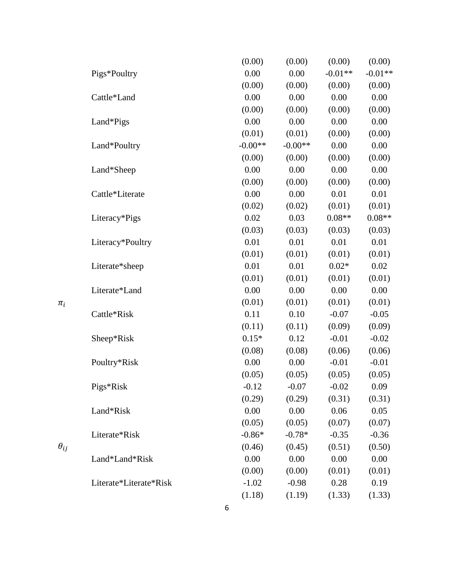|               |                        | (0.00)    | (0.00)    | (0.00)    | (0.00)    |
|---------------|------------------------|-----------|-----------|-----------|-----------|
|               | Pigs*Poultry           | 0.00      | 0.00      | $-0.01**$ | $-0.01**$ |
|               |                        | (0.00)    | (0.00)    | (0.00)    | (0.00)    |
|               | Cattle*Land            | 0.00      | 0.00      | 0.00      | 0.00      |
|               |                        | (0.00)    | (0.00)    | (0.00)    | (0.00)    |
|               | Land*Pigs              | 0.00      | 0.00      | 0.00      | 0.00      |
|               |                        | (0.01)    | (0.01)    | (0.00)    | (0.00)    |
|               | Land*Poultry           | $-0.00**$ | $-0.00**$ | 0.00      | 0.00      |
|               |                        | (0.00)    | (0.00)    | (0.00)    | (0.00)    |
|               | Land*Sheep             | 0.00      | 0.00      | 0.00      | 0.00      |
|               |                        | (0.00)    | (0.00)    | (0.00)    | (0.00)    |
|               | Cattle*Literate        | 0.00      | 0.00      | 0.01      | 0.01      |
|               |                        | (0.02)    | (0.02)    | (0.01)    | (0.01)    |
|               | Literacy*Pigs          | 0.02      | 0.03      | $0.08**$  | $0.08**$  |
|               |                        | (0.03)    | (0.03)    | (0.03)    | (0.03)    |
|               | Literacy*Poultry       | 0.01      | 0.01      | 0.01      | 0.01      |
|               |                        | (0.01)    | (0.01)    | (0.01)    | (0.01)    |
|               | Literate*sheep         | 0.01      | 0.01      | $0.02*$   | 0.02      |
|               |                        | (0.01)    | (0.01)    | (0.01)    | (0.01)    |
|               | Literate*Land          | 0.00      | 0.00      | 0.00      | 0.00      |
| $\pi_i$       |                        | (0.01)    | (0.01)    | (0.01)    | (0.01)    |
|               | Cattle*Risk            | 0.11      | 0.10      | $-0.07$   | $-0.05$   |
|               |                        | (0.11)    | (0.11)    | (0.09)    | (0.09)    |
|               | Sheep*Risk             | $0.15*$   | 0.12      | $-0.01$   | $-0.02$   |
|               |                        | (0.08)    | (0.08)    | (0.06)    | (0.06)    |
|               | Poultry*Risk           | 0.00      | 0.00      | $-0.01$   | $-0.01$   |
|               |                        | (0.05)    | (0.05)    | (0.05)    | (0.05)    |
|               | Pigs*Risk              | $-0.12$   | $-0.07$   | $-0.02$   | 0.09      |
|               |                        | (0.29)    | (0.29)    | (0.31)    | (0.31)    |
|               | Land*Risk              | 0.00      | 0.00      | 0.06      | 0.05      |
|               |                        | (0.05)    | (0.05)    | (0.07)    | (0.07)    |
|               | Literate*Risk          | $-0.86*$  | $-0.78*$  | $-0.35$   | $-0.36$   |
| $\theta_{ij}$ |                        | (0.46)    | (0.45)    | (0.51)    | (0.50)    |
|               | Land*Land*Risk         | 0.00      | 0.00      | 0.00      | 0.00      |
|               |                        | (0.00)    | (0.00)    | (0.01)    | (0.01)    |
|               | Literate*Literate*Risk | $-1.02$   | $-0.98$   | 0.28      | 0.19      |
|               |                        | (1.18)    | (1.19)    | (1.33)    | (1.33)    |
|               |                        | 6         |           |           |           |

 $\pi_i$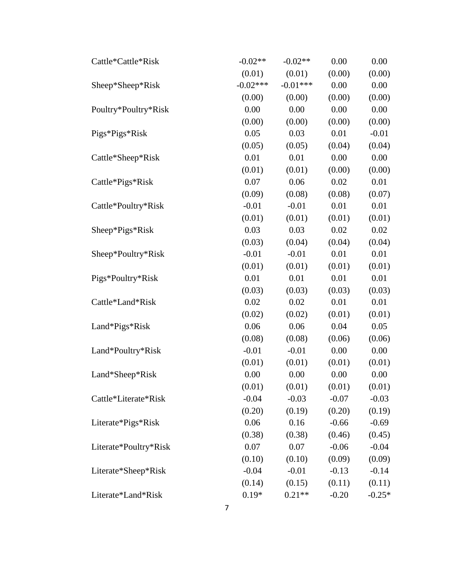| Cattle*Cattle*Risk    | $-0.02**$  | $-0.02**$  | 0.00    | 0.00     |
|-----------------------|------------|------------|---------|----------|
|                       | (0.01)     | (0.01)     | (0.00)  | (0.00)   |
| Sheep*Sheep*Risk      | $-0.02***$ | $-0.01***$ | 0.00    | 0.00     |
|                       | (0.00)     | (0.00)     | (0.00)  | (0.00)   |
| Poultry*Poultry*Risk  | 0.00       | 0.00       | 0.00    | 0.00     |
|                       | (0.00)     | (0.00)     | (0.00)  | (0.00)   |
| Pigs*Pigs*Risk        | 0.05       | 0.03       | 0.01    | $-0.01$  |
|                       | (0.05)     | (0.05)     | (0.04)  | (0.04)   |
| Cattle*Sheep*Risk     | 0.01       | 0.01       | 0.00    | 0.00     |
|                       | (0.01)     | (0.01)     | (0.00)  | (0.00)   |
| Cattle*Pigs*Risk      | 0.07       | 0.06       | 0.02    | 0.01     |
|                       | (0.09)     | (0.08)     | (0.08)  | (0.07)   |
| Cattle*Poultry*Risk   | $-0.01$    | $-0.01$    | 0.01    | 0.01     |
|                       | (0.01)     | (0.01)     | (0.01)  | (0.01)   |
| Sheep*Pigs*Risk       | 0.03       | 0.03       | 0.02    | 0.02     |
|                       | (0.03)     | (0.04)     | (0.04)  | (0.04)   |
| Sheep*Poultry*Risk    | $-0.01$    | $-0.01$    | 0.01    | 0.01     |
|                       | (0.01)     | (0.01)     | (0.01)  | (0.01)   |
| Pigs*Poultry*Risk     | 0.01       | 0.01       | 0.01    | 0.01     |
|                       | (0.03)     | (0.03)     | (0.03)  | (0.03)   |
| Cattle*Land*Risk      | 0.02       | 0.02       | 0.01    | 0.01     |
|                       | (0.02)     | (0.02)     | (0.01)  | (0.01)   |
| Land*Pigs*Risk        | 0.06       | 0.06       | 0.04    | 0.05     |
|                       | (0.08)     | (0.08)     | (0.06)  | (0.06)   |
| Land*Poultry*Risk     | $-0.01$    | $-0.01$    | 0.00    | 0.00     |
|                       | (0.01)     | (0.01)     | (0.01)  | (0.01)   |
| Land*Sheep*Risk       | 0.00       | 0.00       | 0.00    | 0.00     |
|                       | (0.01)     | (0.01)     | (0.01)  | (0.01)   |
| Cattle*Literate*Risk  | $-0.04$    | $-0.03$    | $-0.07$ | $-0.03$  |
|                       | (0.20)     | (0.19)     | (0.20)  | (0.19)   |
| Literate*Pigs*Risk    | 0.06       | 0.16       | $-0.66$ | $-0.69$  |
|                       | (0.38)     | (0.38)     | (0.46)  | (0.45)   |
| Literate*Poultry*Risk | 0.07       | 0.07       | $-0.06$ | $-0.04$  |
|                       | (0.10)     | (0.10)     | (0.09)  | (0.09)   |
| Literate*Sheep*Risk   | $-0.04$    | $-0.01$    | $-0.13$ | $-0.14$  |
|                       | (0.14)     | (0.15)     | (0.11)  | (0.11)   |
| Literate*Land*Risk    | $0.19*$    | $0.21**$   | $-0.20$ | $-0.25*$ |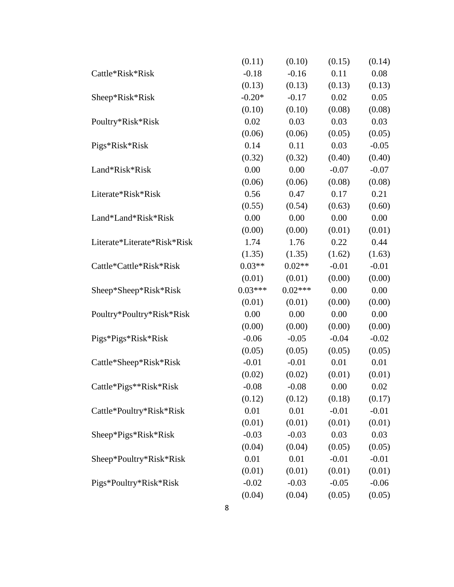|                             | (0.11)    | (0.10)    | (0.15)  | (0.14)  |
|-----------------------------|-----------|-----------|---------|---------|
| Cattle*Risk*Risk            | $-0.18$   | $-0.16$   | 0.11    | 0.08    |
|                             | (0.13)    | (0.13)    | (0.13)  | (0.13)  |
| Sheep*Risk*Risk             | $-0.20*$  | $-0.17$   | 0.02    | 0.05    |
|                             | (0.10)    | (0.10)    | (0.08)  | (0.08)  |
| Poultry*Risk*Risk           | 0.02      | 0.03      | 0.03    | 0.03    |
|                             | (0.06)    | (0.06)    | (0.05)  | (0.05)  |
| Pigs*Risk*Risk              | 0.14      | 0.11      | 0.03    | $-0.05$ |
|                             | (0.32)    | (0.32)    | (0.40)  | (0.40)  |
| Land*Risk*Risk              | 0.00      | 0.00      | $-0.07$ | $-0.07$ |
|                             | (0.06)    | (0.06)    | (0.08)  | (0.08)  |
| Literate*Risk*Risk          | 0.56      | 0.47      | 0.17    | 0.21    |
|                             | (0.55)    | (0.54)    | (0.63)  | (0.60)  |
| Land*Land*Risk*Risk         | 0.00      | 0.00      | 0.00    | 0.00    |
|                             | (0.00)    | (0.00)    | (0.01)  | (0.01)  |
| Literate*Literate*Risk*Risk | 1.74      | 1.76      | 0.22    | 0.44    |
|                             | (1.35)    | (1.35)    | (1.62)  | (1.63)  |
| Cattle*Cattle*Risk*Risk     | $0.03**$  | $0.02**$  | $-0.01$ | $-0.01$ |
|                             | (0.01)    | (0.01)    | (0.00)  | (0.00)  |
| Sheep*Sheep*Risk*Risk       | $0.03***$ | $0.02***$ | 0.00    | 0.00    |
|                             | (0.01)    | (0.01)    | (0.00)  | (0.00)  |
| Poultry*Poultry*Risk*Risk   | 0.00      | 0.00      | 0.00    | 0.00    |
|                             | (0.00)    | (0.00)    | (0.00)  | (0.00)  |
| Pigs*Pigs*Risk*Risk         | $-0.06$   | $-0.05$   | $-0.04$ | $-0.02$ |
|                             | (0.05)    | (0.05)    | (0.05)  | (0.05)  |
| Cattle*Sheep*Risk*Risk      | $-0.01$   | $-0.01$   | 0.01    | 0.01    |
|                             | (0.02)    | (0.02)    | (0.01)  | (0.01)  |
| Cattle*Pigs**Risk*Risk      | $-0.08$   | $-0.08$   | 0.00    | 0.02    |
|                             | (0.12)    | (0.12)    | (0.18)  | (0.17)  |
| Cattle*Poultry*Risk*Risk    | 0.01      | 0.01      | $-0.01$ | $-0.01$ |
|                             | (0.01)    | (0.01)    | (0.01)  | (0.01)  |
| Sheep*Pigs*Risk*Risk        | $-0.03$   | $-0.03$   | 0.03    | 0.03    |
|                             | (0.04)    | (0.04)    | (0.05)  | (0.05)  |
| Sheep*Poultry*Risk*Risk     | 0.01      | 0.01      | $-0.01$ | $-0.01$ |
|                             | (0.01)    | (0.01)    | (0.01)  | (0.01)  |
| Pigs*Poultry*Risk*Risk      | $-0.02$   | $-0.03$   | $-0.05$ | $-0.06$ |
|                             | (0.04)    | (0.04)    | (0.05)  | (0.05)  |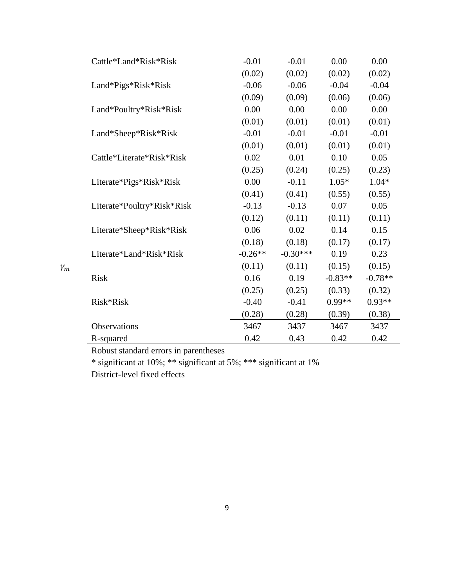|                 | Cattle*Land*Risk*Risk      | $-0.01$   | $-0.01$    | 0.00      | 0.00      |
|-----------------|----------------------------|-----------|------------|-----------|-----------|
|                 |                            | (0.02)    | (0.02)     | (0.02)    | (0.02)    |
|                 | Land*Pigs*Risk*Risk        | $-0.06$   | $-0.06$    | $-0.04$   | $-0.04$   |
|                 |                            | (0.09)    | (0.09)     | (0.06)    | (0.06)    |
|                 | Land*Poultry*Risk*Risk     | 0.00      | 0.00       | 0.00      | 0.00      |
|                 |                            | (0.01)    | (0.01)     | (0.01)    | (0.01)    |
|                 | Land*Sheep*Risk*Risk       | $-0.01$   | $-0.01$    | $-0.01$   | $-0.01$   |
|                 |                            | (0.01)    | (0.01)     | (0.01)    | (0.01)    |
|                 | Cattle*Literate*Risk*Risk  | 0.02      | 0.01       | 0.10      | 0.05      |
|                 |                            | (0.25)    | (0.24)     | (0.25)    | (0.23)    |
|                 | Literate*Pigs*Risk*Risk    | 0.00      | $-0.11$    | $1.05*$   | $1.04*$   |
|                 |                            | (0.41)    | (0.41)     | (0.55)    | (0.55)    |
|                 | Literate*Poultry*Risk*Risk | $-0.13$   | $-0.13$    | 0.07      | 0.05      |
|                 |                            | (0.12)    | (0.11)     | (0.11)    | (0.11)    |
|                 | Literate*Sheep*Risk*Risk   | 0.06      | 0.02       | 0.14      | 0.15      |
|                 |                            | (0.18)    | (0.18)     | (0.17)    | (0.17)    |
|                 | Literate*Land*Risk*Risk    | $-0.26**$ | $-0.30***$ | 0.19      | 0.23      |
| $\mathcal{V}_m$ |                            | (0.11)    | (0.11)     | (0.15)    | (0.15)    |
|                 | <b>Risk</b>                | 0.16      | 0.19       | $-0.83**$ | $-0.78**$ |
|                 |                            | (0.25)    | (0.25)     | (0.33)    | (0.32)    |
|                 | Risk*Risk                  | $-0.40$   | $-0.41$    | 0.99**    | $0.93**$  |
|                 |                            | (0.28)    | (0.28)     | (0.39)    | (0.38)    |
|                 | Observations               | 3467      | 3437       | 3467      | 3437      |
|                 | R-squared                  | 0.42      | 0.43       | 0.42      | 0.42      |
|                 |                            |           |            |           |           |

Robust standard errors in parentheses

\* significant at 10%; \*\* significant at 5%; \*\*\* significant at 1%

District-level fixed effects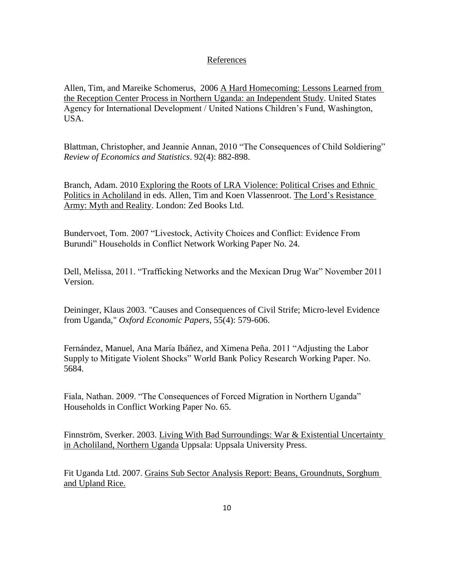### References

Allen, Tim, and Mareike Schomerus, 2006 A Hard Homecoming: Lessons Learned from the Reception Center Process in Northern Uganda: an Independent Study. United States Agency for International Development / United Nations Children"s Fund, Washington, USA.

Blattman, Christopher, and Jeannie Annan, 2010 "The Consequences of Child Soldiering" *Review of Economics and Statistics*. 92(4): 882-898.

Branch, Adam. 2010 Exploring the Roots of LRA Violence: Political Crises and Ethnic Politics in Acholiland in eds. Allen, Tim and Koen Vlassenroot. The Lord"s Resistance Army: Myth and Reality. London: Zed Books Ltd.

Bundervoet, Tom. 2007 "Livestock, Activity Choices and Conflict: Evidence From Burundi" Households in Conflict Network Working Paper No. 24.

Dell, Melissa, 2011. "Trafficking Networks and the Mexican Drug War" November 2011 Version.

Deininger, Klaus 2003. "Causes and Consequences of Civil Strife; Micro-level Evidence from Uganda," *Oxford Economic Papers*, 55(4): 579-606.

Fernández, Manuel, Ana María Ibáñez, and Ximena Peña. 2011 "Adjusting the Labor Supply to Mitigate Violent Shocks" World Bank Policy Research Working Paper. No. 5684.

Fiala, Nathan. 2009. "The Consequences of Forced Migration in Northern Uganda" Households in Conflict Working Paper No. 65.

Finnström, Sverker. 2003. Living With Bad Surroundings: War & Existential Uncertainty in Acholiland, Northern Uganda Uppsala: Uppsala University Press.

Fit Uganda Ltd. 2007. Grains Sub Sector Analysis Report: Beans, Groundnuts, Sorghum and Upland Rice.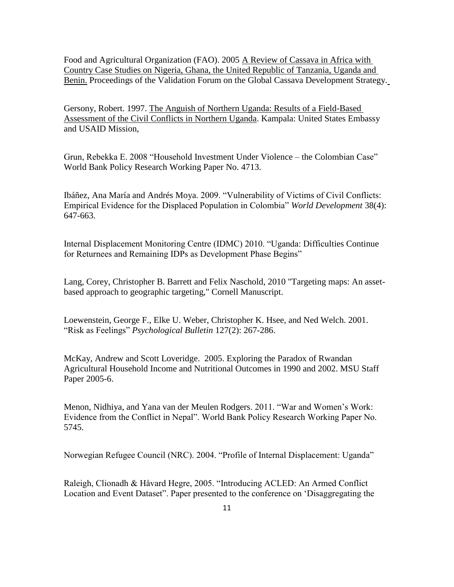Food and Agricultural Organization (FAO). 2005 A Review of Cassava in Africa with Country Case Studies on Nigeria, Ghana, the United Republic of Tanzania, Uganda and Benin. Proceedings of the Validation Forum on the Global Cassava Development Strategy.

Gersony, Robert. 1997. The Anguish of Northern Uganda: Results of a Field-Based Assessment of the Civil Conflicts in Northern Uganda. Kampala: United States Embassy and USAID Mission,

Grun, Rebekka E. 2008 "Household Investment Under Violence – the Colombian Case" World Bank Policy Research Working Paper No. 4713.

Ibáñez, Ana María and Andrés Moya. 2009. "Vulnerability of Victims of Civil Conflicts: Empirical Evidence for the Displaced Population in Colombia" *World Development* 38(4): 647-663.

Internal Displacement Monitoring Centre (IDMC) 2010. "Uganda: Difficulties Continue for Returnees and Remaining IDPs as Development Phase Begins"

Lang, Corey, Christopher B. Barrett and Felix Naschold, 2010 "Targeting maps: An assetbased approach to geographic targeting," Cornell Manuscript.

Loewenstein, George F., Elke U. Weber, Christopher K. Hsee, and Ned Welch. 2001. "Risk as Feelings" *Psychological Bulletin* 127(2): 267-286.

McKay, Andrew and Scott Loveridge. 2005. Exploring the Paradox of Rwandan Agricultural Household Income and Nutritional Outcomes in 1990 and 2002. MSU Staff Paper 2005-6.

Menon, Nidhiya, and Yana van der Meulen Rodgers. 2011. "War and Women"s Work: Evidence from the Conflict in Nepal". World Bank Policy Research Working Paper No. 5745.

Norwegian Refugee Council (NRC). 2004. "Profile of Internal Displacement: Uganda"

Raleigh, Clionadh & Håvard Hegre, 2005. "Introducing ACLED: An Armed Conflict Location and Event Dataset". Paper presented to the conference on "Disaggregating the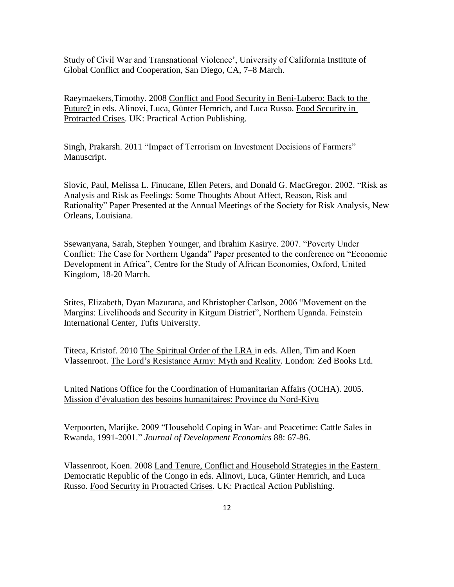Study of Civil War and Transnational Violence", University of California Institute of Global Conflict and Cooperation, San Diego, CA, 7–8 March.

Raeymaekers,Timothy. 2008 Conflict and Food Security in Beni-Lubero: Back to the Future? in eds. Alinovi, Luca, Günter Hemrich, and Luca Russo. Food Security in Protracted Crises. UK: Practical Action Publishing.

Singh, Prakarsh. 2011 "Impact of Terrorism on Investment Decisions of Farmers" Manuscript.

Slovic, Paul, Melissa L. Finucane, Ellen Peters, and Donald G. MacGregor. 2002. "Risk as Analysis and Risk as Feelings: Some Thoughts About Affect, Reason, Risk and Rationality" Paper Presented at the Annual Meetings of the Society for Risk Analysis, New Orleans, Louisiana.

Ssewanyana, Sarah, Stephen Younger, and Ibrahim Kasirye. 2007. "Poverty Under Conflict: The Case for Northern Uganda" Paper presented to the conference on "Economic Development in Africa", Centre for the Study of African Economies, Oxford, United Kingdom, 18-20 March.

Stites, Elizabeth, Dyan Mazurana, and Khristopher Carlson, 2006 "Movement on the Margins: Livelihoods and Security in Kitgum District", Northern Uganda. Feinstein International Center, Tufts University.

Titeca, Kristof. 2010 The Spiritual Order of the LRA in eds. Allen, Tim and Koen Vlassenroot. The Lord"s Resistance Army: Myth and Reality. London: Zed Books Ltd.

United Nations Office for the Coordination of Humanitarian Affairs (OCHA). 2005. Mission d"évaluation des besoins humanitaires: Province du Nord-Kivu

Verpoorten, Marijke. 2009 "Household Coping in War- and Peacetime: Cattle Sales in Rwanda, 1991-2001." *Journal of Development Economics* 88: 67-86.

Vlassenroot, Koen. 2008 Land Tenure, Conflict and Household Strategies in the Eastern Democratic Republic of the Congo in eds. Alinovi, Luca, Günter Hemrich, and Luca Russo. Food Security in Protracted Crises. UK: Practical Action Publishing.